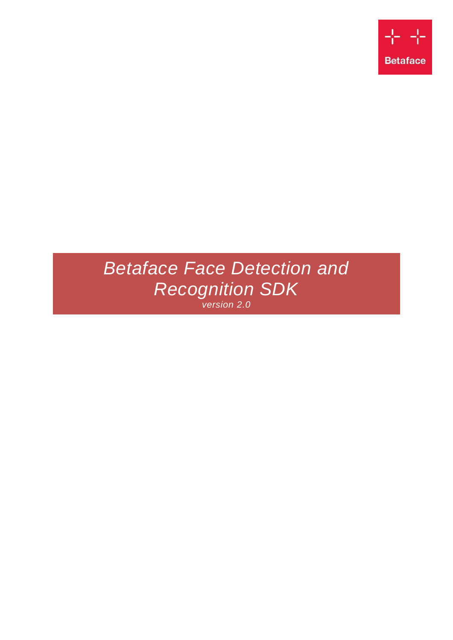

# *Betaface Face Detection and Recognition SDK version 2.0*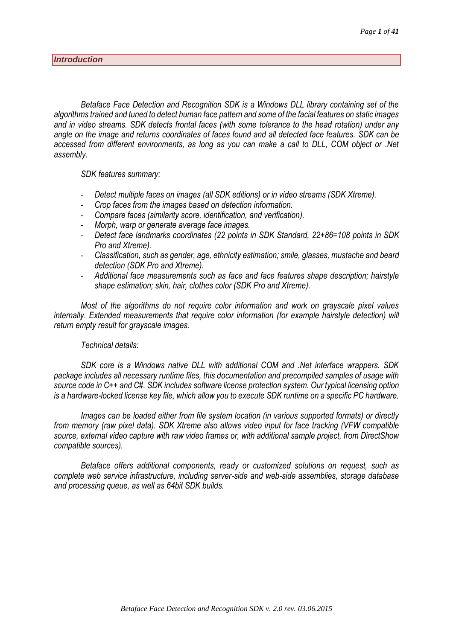<span id="page-1-0"></span>*Betaface Face Detection and Recognition SDK is a Windows DLL library containing set of the algorithms trained and tuned to detect human face pattern and some of the facial features on static images and in video streams. SDK detects frontal faces (with some tolerance to the head rotation) under any angle on the image and returns coordinates of faces found and all detected face features. SDK can be accessed from different environments, as long as you can make a call to DLL, COM object or .Net assembly.*

#### *SDK features summary:*

- *Detect multiple faces on images (all SDK editions) or in video streams (SDK Xtreme).*
- *Crop faces from the images based on detection information.*
- *Compare faces (similarity score, identification, and verification).*
- *Morph, warp or generate average face images.*
- *Detect face landmarks coordinates (22 points in SDK Standard, 22+86=108 points in SDK Pro and Xtreme).*
- *Classification, such as gender, age, ethnicity estimation; smile, glasses, mustache and beard detection (SDK Pro and Xtreme).*
- *Additional face measurements such as face and face features shape description; hairstyle shape estimation; skin, hair, clothes color (SDK Pro and Xtreme).*

*Most of the algorithms do not require color information and work on grayscale pixel values internally. Extended measurements that require color information (for example hairstyle detection) will return empty result for grayscale images.*

#### *Technical details:*

*SDK core is a Windows native DLL with additional COM and .Net interface wrappers. SDK package includes all necessary runtime files, this documentation and precompiled samples of usage with source code in C++ and C#. SDK includes software license protection system. Our typical licensing option is a hardware-locked license key file, which allow you to execute SDK runtime on a specific PC hardware.*

*Images can be loaded either from file system location (in various supported formats) or directly from memory (raw pixel data). SDK Xtreme also allows video input for face tracking (VFW compatible source, external video capture with raw video frames or, with additional sample project, from DirectShow compatible sources).*

*Betaface offers additional components, ready or customized solutions on request, such as complete web service infrastructure, including server-side and web-side assemblies, storage database and processing queue, as well as 64bit SDK builds.*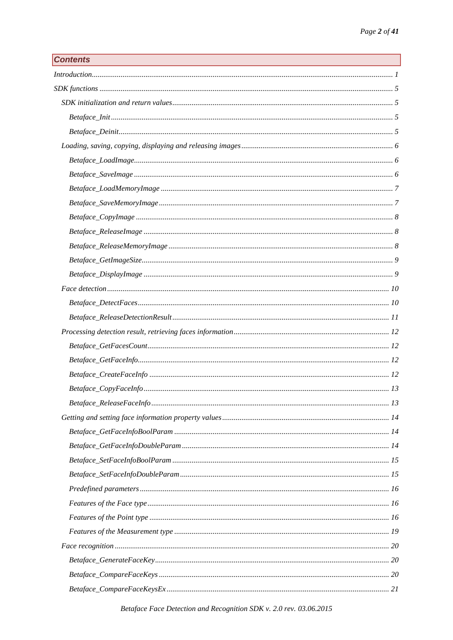| <b>Contents</b> |
|-----------------|
|-----------------|

| Introduction 1 |  |
|----------------|--|
|                |  |
|                |  |
|                |  |
|                |  |
|                |  |
|                |  |
|                |  |
|                |  |
|                |  |
|                |  |
|                |  |
|                |  |
|                |  |
|                |  |
|                |  |
|                |  |
|                |  |
|                |  |
|                |  |
|                |  |
|                |  |
|                |  |
|                |  |
|                |  |
|                |  |
|                |  |
|                |  |
|                |  |
|                |  |
|                |  |
|                |  |
|                |  |
|                |  |
|                |  |
|                |  |
|                |  |
|                |  |

Betaface Face Detection and Recognition SDK v. 2.0 rev. 03.06.2015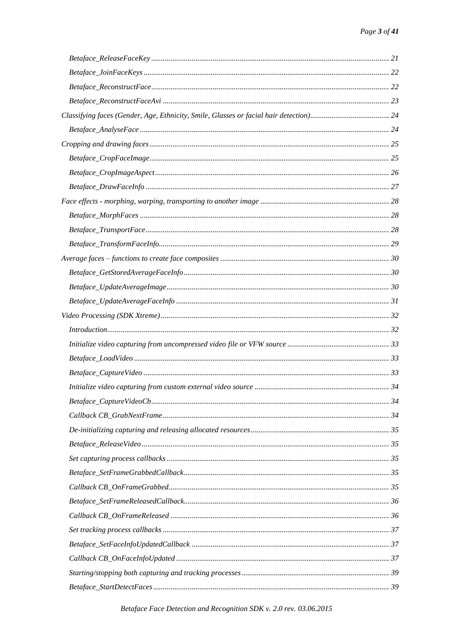| Introduction 32 |  |
|-----------------|--|
|                 |  |
|                 |  |
|                 |  |
|                 |  |
|                 |  |
|                 |  |
|                 |  |
|                 |  |
|                 |  |
|                 |  |
|                 |  |
|                 |  |
|                 |  |
|                 |  |
|                 |  |
|                 |  |
|                 |  |
|                 |  |
|                 |  |

Betaface Face Detection and Recognition SDK v. 2.0 rev. 03.06.2015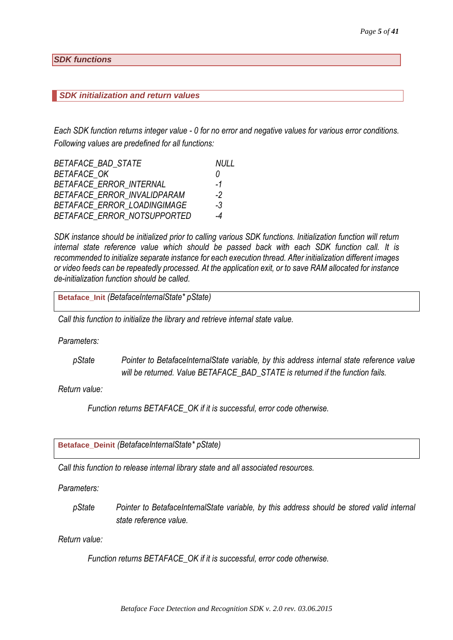### <span id="page-5-0"></span>*SDK functions*

#### <span id="page-5-1"></span>*SDK initialization and return values*

*Each SDK function returns integer value - 0 for no error and negative values for various error conditions. Following values are predefined for all functions:*

| <b>BETAFACE BAD STATE</b>      | NULL |
|--------------------------------|------|
| <b>BETAFACE OK</b>             | 0    |
| <b>BETAFACE ERROR INTERNAL</b> | $-1$ |
| BETAFACE ERROR INVALIDPARAM    | -2   |
| BETAFACE ERROR LOADINGIMAGE    | $-3$ |
| BETAFACE ERROR NOTSUPPORTED    | -4   |

*SDK instance should be initialized prior to calling various SDK functions. Initialization function will return internal state reference value which should be passed back with each SDK function call. It is recommended to initialize separate instance for each execution thread. After initialization different images or video feeds can be repeatedly processed. At the application exit, or to save RAM allocated for instance de-initialization function should be called.*

<span id="page-5-2"></span>**Betaface\_Init** *(BetafaceInternalState\* pState)*

*Call this function to initialize the library and retrieve internal state value.*

*Parameters:*

*pState Pointer to BetafaceInternalState variable, by this address internal state reference value will be returned. Value BETAFACE\_BAD\_STATE is returned if the function fails.*

*Return value:*

*Function returns BETAFACE\_OK if it is successful, error code otherwise.*

<span id="page-5-3"></span>**Betaface\_Deinit** *(BetafaceInternalState\* pState)*

*Call this function to release internal library state and all associated resources.*

*Parameters:*

*pState Pointer to BetafaceInternalState variable, by this address should be stored valid internal state reference value.*

*Return value:*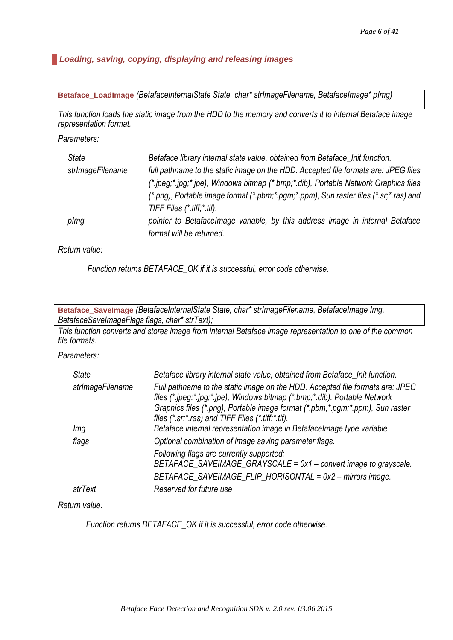<span id="page-6-0"></span>*Loading, saving, copying, displaying and releasing images*

<span id="page-6-1"></span>**Betaface\_LoadImage** *(BetafaceInternalState State, char\* strImageFilename, BetafaceImage\* pImg)*

*This function loads the static image from the HDD to the memory and converts it to internal Betaface image representation format.*

*Parameters:*

| <b>State</b>     | Betaface library internal state value, obtained from Betaface_Init function.          |
|------------------|---------------------------------------------------------------------------------------|
| strImageFilename | full pathname to the static image on the HDD. Accepted file formats are: JPEG files   |
|                  | (*.jpeg;*.jpg;*.jpe), Windows bitmap (*.bmp;*.dib), Portable Network Graphics files   |
|                  | (*.png), Portable image format (*.pbm;*.pgm;*.ppm), Sun raster files (*.sr;*.ras) and |
|                  | TIFF Files $(*$ tiff; $*$ tif).                                                       |
| plmg             | pointer to Betafacelmage variable, by this address image in internal Betaface         |
|                  | format will be returned.                                                              |

#### *Return value:*

*Function returns BETAFACE\_OK if it is successful, error code otherwise.*

<span id="page-6-2"></span>**Betaface\_SaveImage** *(BetafaceInternalState State, char\* strImageFilename, BetafaceImage Img, BetafaceSaveImageFlags flags, char\* strText);*

*This function converts and stores image from internal Betaface image representation to one of the common file formats.*

## *Parameters:*

| <b>State</b>     | Betaface library internal state value, obtained from Betaface_Init function.                                                                                                                                                                                                                           |
|------------------|--------------------------------------------------------------------------------------------------------------------------------------------------------------------------------------------------------------------------------------------------------------------------------------------------------|
| strImageFilename | Full pathname to the static image on the HDD. Accepted file formats are: JPEG<br>files (*.jpeg;*.jpg;*.jpe), Windows bitmap (*.bmp;*.dib), Portable Network<br>Graphics files (*.png), Portable image format (*.pbm;*.pgm;*.ppm), Sun raster<br>files $(*.sr,*.ras)$ and TIFF Files $(*.ttff,*.ttf)$ . |
| Img              | Betaface internal representation image in Betafacelmage type variable                                                                                                                                                                                                                                  |
| flags            | Optional combination of image saving parameter flags.                                                                                                                                                                                                                                                  |
|                  | Following flags are currently supported:<br>BETAFACE_SAVEIMAGE_GRAYSCALE = 0x1 - convert image to grayscale.<br>BETAFACE SAVEIMAGE FLIP HORISONTAL = 0x2 - mirrors image.                                                                                                                              |
| strText          | Reserved for future use                                                                                                                                                                                                                                                                                |

### *Return value:*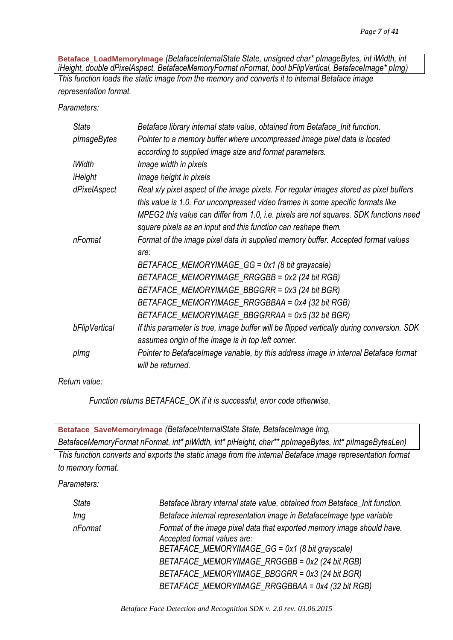<span id="page-7-0"></span>**Betaface\_LoadMemoryImage** *(BetafaceInternalState State, unsigned char\* pImageBytes, int iWidth, int iHeight, double dPixelAspect, BetafaceMemoryFormat nFormat, bool bFlipVertical, BetafaceImage\* pImg) This function loads the static image from the memory and converts it to internal Betaface image representation format.*

*Parameters:*

| <b>State</b>  | Betaface library internal state value, obtained from Betaface_Init function.              |
|---------------|-------------------------------------------------------------------------------------------|
| pImageBytes   | Pointer to a memory buffer where uncompressed image pixel data is located                 |
|               | according to supplied image size and format parameters.                                   |
| iWidth        | Image width in pixels                                                                     |
| iHeight       | Image height in pixels                                                                    |
| dPixelAspect  | Real x/y pixel aspect of the image pixels. For regular images stored as pixel buffers     |
|               | this value is 1.0. For uncompressed video frames in some specific formats like            |
|               | MPEG2 this value can differ from 1.0, i.e. pixels are not squares. SDK functions need     |
|               | square pixels as an input and this function can reshape them.                             |
| nFormat       | Format of the image pixel data in supplied memory buffer. Accepted format values          |
|               | are:                                                                                      |
|               | BETAFACE_MEMORYIMAGE_GG = 0x1 (8 bit grayscale)                                           |
|               | BETAFACE_MEMORYIMAGE_RRGGBB = 0x2 (24 bit RGB)                                            |
|               | BETAFACE_MEMORYIMAGE_BBGGRR = 0x3 (24 bit BGR)                                            |
|               | BETAFACE_MEMORYIMAGE_RRGGBBAA = 0x4 (32 bit RGB)                                          |
|               | BETAFACE_MEMORYIMAGE_BBGGRRAA = 0x5 (32 bit BGR)                                          |
| bFlipVertical | If this parameter is true, image buffer will be flipped vertically during conversion. SDK |
|               | assumes origin of the image is in top left corner.                                        |
| plmg          | Pointer to Betafacelmage variable, by this address image in internal Betaface format      |
|               | will be returned.                                                                         |

*Return value:*

<span id="page-7-1"></span>

| Betaface_SaveMemoryImage (BetafaceInternalState State, BetafaceImage Img,                                  |                                                                              |  |
|------------------------------------------------------------------------------------------------------------|------------------------------------------------------------------------------|--|
| BetafaceMemoryFormat nFormat, int* piWidth, int* piHeight, char** ppImageBytes, int* piImageBytesLen)      |                                                                              |  |
| This function converts and exports the static image from the internal Betaface image representation format |                                                                              |  |
| to memory format.                                                                                          |                                                                              |  |
| Parameters:                                                                                                |                                                                              |  |
| <b>State</b>                                                                                               | Betaface library internal state value, obtained from Betaface_Init function. |  |

| State   | Betaface library internal state value, obtained from Betaface_Init function.                                                                             |
|---------|----------------------------------------------------------------------------------------------------------------------------------------------------------|
| lmg     | Betaface internal representation image in Betaface mage type variable                                                                                    |
| nFormat | Format of the image pixel data that exported memory image should have.<br>Accepted format values are:<br>BETAFACE_MEMORYIMAGE_GG = 0x1 (8 bit grayscale) |
|         | BETAFACE_MEMORYIMAGE_RRGGBB = 0x2 (24 bit RGB)                                                                                                           |
|         | BETAFACE_MEMORYIMAGE_BBGGRR = 0x3 (24 bit BGR)                                                                                                           |
|         | BETAFACE_MEMORYIMAGE_RRGGBBAA = 0x4 (32 bit RGB)                                                                                                         |
|         |                                                                                                                                                          |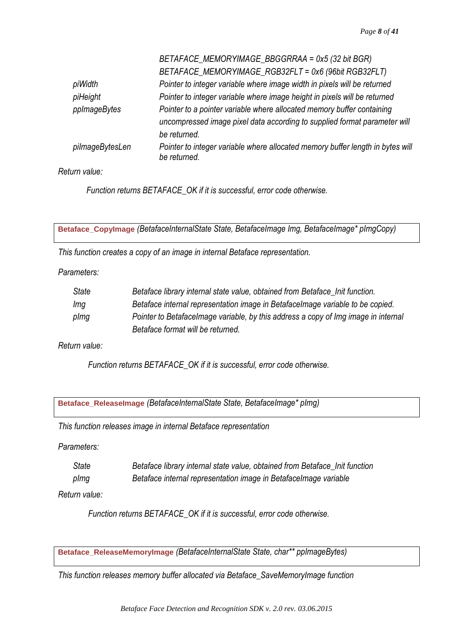|                 | BETAFACE_MEMORYIMAGE_BBGGRRAA = 0x5 (32 bit BGR)                                               |
|-----------------|------------------------------------------------------------------------------------------------|
|                 | BETAFACE_MEMORYIMAGE_RGB32FLT = 0x6 (96bit RGB32FLT)                                           |
| piWidth         | Pointer to integer variable where image width in pixels will be returned                       |
| piHeight        | Pointer to integer variable where image height in pixels will be returned                      |
| ppImageBytes    | Pointer to a pointer variable where allocated memory buffer containing                         |
|                 | uncompressed image pixel data according to supplied format parameter will                      |
|                 | be returned.                                                                                   |
| pilmageBytesLen | Pointer to integer variable where allocated memory buffer length in bytes will<br>be returned. |

*Return value:*

*Function returns BETAFACE\_OK if it is successful, error code otherwise.*

<span id="page-8-0"></span>**Betaface\_CopyImage** *(BetafaceInternalState State, BetafaceImage Img, BetafaceImage\* pImgCopy)*

*This function creates a copy of an image in internal Betaface representation.*

*Parameters:*

| State | Betaface library internal state value, obtained from Betaface Init function.       |
|-------|------------------------------------------------------------------------------------|
| Img   | Betaface internal representation image in Betaface mage variable to be copied.     |
| plmg  | Pointer to Betafacelmage variable, by this address a copy of lmg image in internal |
|       | Betaface format will be returned.                                                  |

*Return value:*

*Function returns BETAFACE\_OK if it is successful, error code otherwise.*

<span id="page-8-1"></span>**Betaface\_ReleaseImage** *(BetafaceInternalState State, BetafaceImage\* pImg)*

*This function releases image in internal Betaface representation*

*Parameters:*

*State Betaface library internal state value, obtained from Betaface\_Init function pImg Betaface internal representation image in BetafaceImage variable*

*Return value:*

*Function returns BETAFACE\_OK if it is successful, error code otherwise.*

<span id="page-8-2"></span>**Betaface\_ReleaseMemoryImage** *(BetafaceInternalState State, char\*\* ppImageBytes)*

*This function releases memory buffer allocated via Betaface\_SaveMemoryImage function*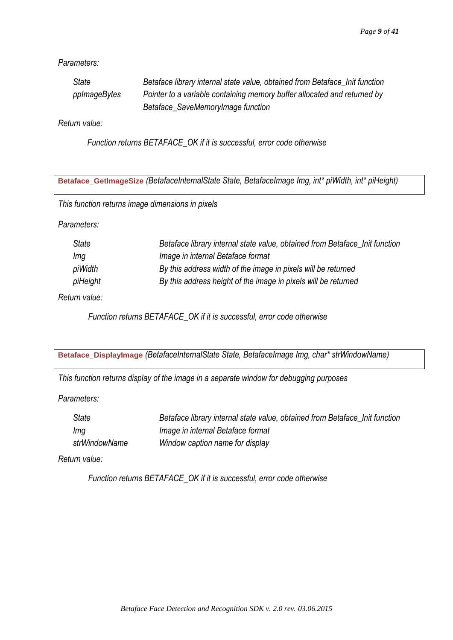*Parameters:*

| State        | Betaface library internal state value, obtained from Betaface Init function |
|--------------|-----------------------------------------------------------------------------|
| ppImageBytes | Pointer to a variable containing memory buffer allocated and returned by    |
|              | Betaface_SaveMemoryImage function                                           |

*Return value:*

*Function returns BETAFACE\_OK if it is successful, error code otherwise*

<span id="page-9-0"></span>**Betaface\_GetImageSize** *(BetafaceInternalState State, BetafaceImage Img, int\* piWidth, int\* piHeight)*

*This function returns image dimensions in pixels*

*Parameters:*

| State    | Betaface library internal state value, obtained from Betaface Init function |
|----------|-----------------------------------------------------------------------------|
| Ima      | Image in internal Betaface format                                           |
| piWidth  | By this address width of the image in pixels will be returned               |
| piHeight | By this address height of the image in pixels will be returned              |
|          |                                                                             |

*Return value:*

*Function returns BETAFACE\_OK if it is successful, error code otherwise*

<span id="page-9-1"></span>**Betaface\_DisplayImage** *(BetafaceInternalState State, BetafaceImage Img, char\* strWindowName)*

*This function returns display of the image in a separate window for debugging purposes*

*Parameters:*

| State         | Betaface library internal state value, obtained from Betaface Init function |
|---------------|-----------------------------------------------------------------------------|
| Img           | Image in internal Betaface format                                           |
| strWindowName | Window caption name for display                                             |

*Return value:*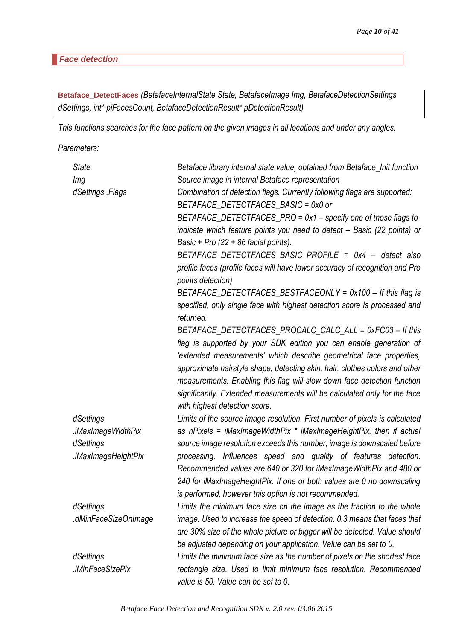#### <span id="page-10-0"></span>*Face detection*

<span id="page-10-1"></span>**Betaface\_DetectFaces** *(BetafaceInternalState State, BetafaceImage Img, BetafaceDetectionSettings dSettings, int\* piFacesCount, BetafaceDetectionResult\* pDetectionResult)*

*This functions searches for the face pattern on the given images in all locations and under any angles.*

*Parameters:*

| <b>State</b>         | Betaface library internal state value, obtained from Betaface_Init function                       |
|----------------------|---------------------------------------------------------------------------------------------------|
| Img                  | Source image in internal Betaface representation                                                  |
| dSettings Flags      | Combination of detection flags. Currently following flags are supported:                          |
|                      | BETAFACE_DETECTFACES_BASIC = 0x0 or                                                               |
|                      | BETAFACE_DETECTFACES_PRO = 0x1 - specify one of those flags to                                    |
|                      | indicate which feature points you need to detect - Basic (22 points) or                           |
|                      | Basic + Pro $(22 + 86$ facial points).                                                            |
|                      | BETAFACE_DETECTFACES_BASIC_PROFILE = 0x4 - detect also                                            |
|                      | profile faces (profile faces will have lower accuracy of recognition and Pro<br>points detection) |
|                      | BETAFACE_DETECTFACES_BESTFACEONLY = 0x100 - If this flag is                                       |
|                      | specified, only single face with highest detection score is processed and<br>returned.            |
|                      | BETAFACE_DETECTFACES_PROCALC_CALC_ALL = 0xFC03 - If this                                          |
|                      | flag is supported by your SDK edition you can enable generation of                                |
|                      | 'extended measurements' which describe geometrical face properties,                               |
|                      | approximate hairstyle shape, detecting skin, hair, clothes colors and other                       |
|                      | measurements. Enabling this flag will slow down face detection function                           |
|                      | significantly. Extended measurements will be calculated only for the face                         |
|                      | with highest detection score.                                                                     |
| dSettings            | Limits of the source image resolution. First number of pixels is calculated                       |
| iMaxImageWidthPix.   | as nPixels = iMaxImageWidthPix * iMaxImageHeightPix, then if actual                               |
| dSettings            | source image resolution exceeds this number, image is downscaled before                           |
| .iMaxImageHeightPix  | processing. Influences speed and quality of features detection.                                   |
|                      | Recommended values are 640 or 320 for iMaxImageWidthPix and 480 or                                |
|                      | 240 for iMaxImageHeightPix. If one or both values are 0 no downscaling                            |
|                      | is performed, however this option is not recommended.                                             |
| dSettings            | Limits the minimum face size on the image as the fraction to the whole                            |
| .dMinFaceSizeOnImage | image. Used to increase the speed of detection. 0.3 means that faces that                         |
|                      | are 30% size of the whole picture or bigger will be detected. Value should                        |
|                      | be adjusted depending on your application. Value can be set to 0.                                 |
| dSettings            | Limits the minimum face size as the number of pixels on the shortest face                         |
| .iMinFaceSizePix     | rectangle size. Used to limit minimum face resolution. Recommended                                |
|                      | value is 50. Value can be set to 0.                                                               |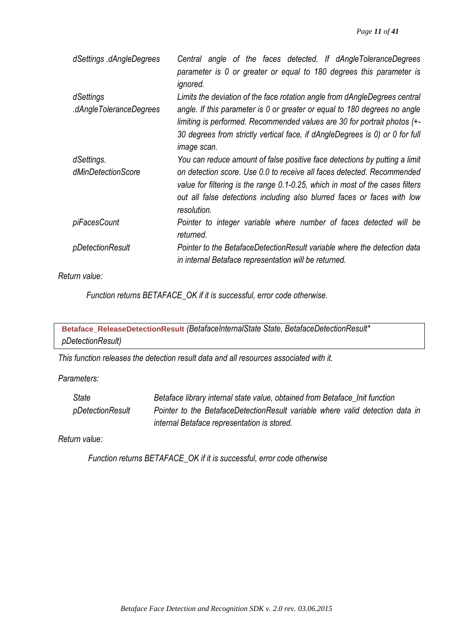| dSettings .dAngleDegrees | Central angle of the faces detected. If dAngleToleranceDegrees<br>parameter is 0 or greater or equal to 180 degrees this parameter is<br>ignored.                                                                                                    |
|--------------------------|------------------------------------------------------------------------------------------------------------------------------------------------------------------------------------------------------------------------------------------------------|
| dSettings                | Limits the deviation of the face rotation angle from dAngleDegrees central                                                                                                                                                                           |
| dAngleToleranceDegrees.  | angle. If this parameter is 0 or greater or equal to 180 degrees no angle<br>limiting is performed. Recommended values are 30 for portrait photos (+-<br>30 degrees from strictly vertical face, if dAngleDegrees is 0) or 0 for full<br>image scan. |
| dSettings.               | You can reduce amount of false positive face detections by putting a limit                                                                                                                                                                           |
| dMinDetectionScore       | on detection score. Use 0.0 to receive all faces detected. Recommended<br>value for filtering is the range 0.1-0.25, which in most of the cases filters<br>out all false detections including also blurred faces or faces with low<br>resolution.    |
| piFacesCount             | Pointer to integer variable where number of faces detected will be<br>returned.                                                                                                                                                                      |
| pDetectionResult         | Pointer to the BetafaceDetectionResult variable where the detection data<br>in internal Betaface representation will be returned.                                                                                                                    |

*Return value:*

*Function returns BETAFACE\_OK if it is successful, error code otherwise.*

<span id="page-11-0"></span>**Betaface\_ReleaseDetectionResult** *(BetafaceInternalState State, BetafaceDetectionResult\* pDetectionResult)*

*This function releases the detection result data and all resources associated with it.*

*Parameters:*

| <b>State</b>     | Betaface library internal state value, obtained from Betaface_Init function   |
|------------------|-------------------------------------------------------------------------------|
| pDetectionResult | Pointer to the BetafaceDetectionResult variable where valid detection data in |
|                  | internal Betaface representation is stored.                                   |

*Return value:*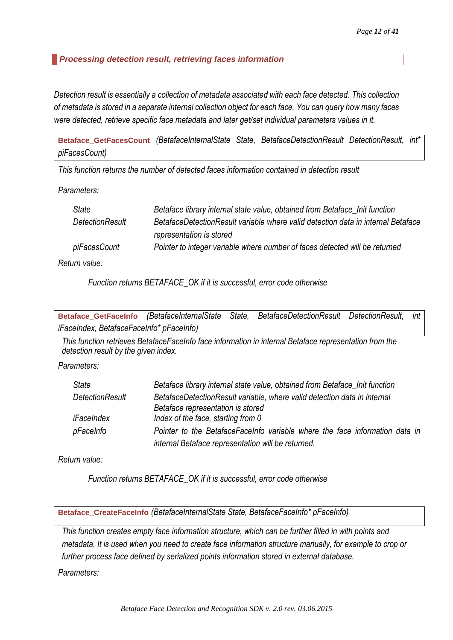## <span id="page-12-0"></span>*Processing detection result, retrieving faces information*

*Detection result is essentially a collection of metadata associated with each face detected. This collection of metadata is stored in a separate internal collection object for each face. You can query how many faces were detected, retrieve specific face metadata and later get/set individual parameters values in it.*

<span id="page-12-1"></span>**Betaface\_GetFacesCount** *(BetafaceInternalState State, BetafaceDetectionResult DetectionResult, int\* piFacesCount)*

*This function returns the number of detected faces information contained in detection result*

*Parameters:*

| State           | Betaface library internal state value, obtained from Betaface Init function      |
|-----------------|----------------------------------------------------------------------------------|
| DetectionResult | BetafaceDetectionResult variable where valid detection data in internal Betaface |
|                 | representation is stored                                                         |
| piFacesCount    | Pointer to integer variable where number of faces detected will be returned      |
| urn valuer      |                                                                                  |

*Return value:*

*Function returns BETAFACE\_OK if it is successful, error code otherwise*

<span id="page-12-2"></span>**Betaface\_GetFaceInfo** *(BetafaceInternalState State, BetafaceDetectionResult DetectionResult, int iFaceIndex, BetafaceFaceInfo\* pFaceInfo)*

*This function retrieves BetafaceFaceInfo face information in internal Betaface representation from the detection result by the given index.*

*Parameters:*

| <b>State</b>    | Betaface library internal state value, obtained from Betaface_Init function                                   |
|-----------------|---------------------------------------------------------------------------------------------------------------|
| DetectionResult | BetafaceDetectionResult variable, where valid detection data in internal<br>Betaface representation is stored |
| iFaceIndex      | Index of the face, starting from 0                                                                            |
| pFaceInfo       | Pointer to the BetafaceFaceInfo variable where the face information data in                                   |
|                 | internal Betaface representation will be returned.                                                            |

*Return value:*

*Function returns BETAFACE\_OK if it is successful, error code otherwise*

<span id="page-12-3"></span>**Betaface\_CreateFaceInfo** *(BetafaceInternalState State, BetafaceFaceInfo\* pFaceInfo)*

*This function creates empty face information structure, which can be further filled in with points and metadata. It is used when you need to create face information structure manually, for example to crop or further process face defined by serialized points information stored in external database.*

*Parameters:*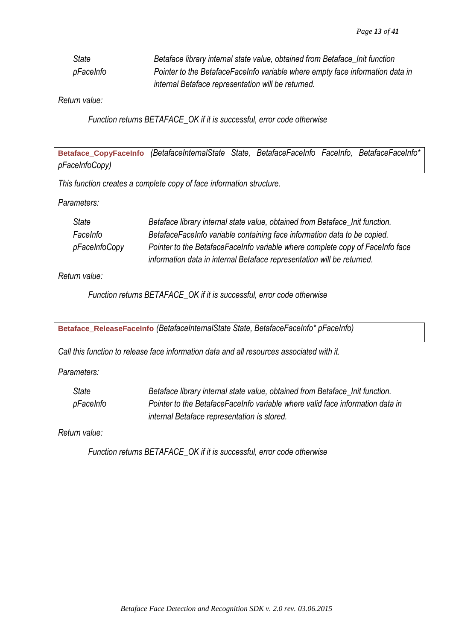| State     | Betaface library internal state value, obtained from Betaface Init function   |
|-----------|-------------------------------------------------------------------------------|
| pFaceInfo | Pointer to the BetafaceFaceInfo variable where empty face information data in |
|           | internal Betaface representation will be returned.                            |

## *Return value:*

*Function returns BETAFACE\_OK if it is successful, error code otherwise*

<span id="page-13-0"></span>**Betaface\_CopyFaceInfo** *(BetafaceInternalState State, BetafaceFaceInfo FaceInfo, BetafaceFaceInfo\* pFaceInfoCopy)*

*This function creates a complete copy of face information structure.*

*Parameters:*

| State         | Betaface library internal state value, obtained from Betaface_Init function.  |
|---------------|-------------------------------------------------------------------------------|
| FaceInfo      | BetafaceFaceInfo variable containing face information data to be copied.      |
| pFaceInfoCopy | Pointer to the BetafaceFaceInfo variable where complete copy of FaceInfo face |
|               | information data in internal Betaface representation will be returned.        |

*Return value:*

*Function returns BETAFACE\_OK if it is successful, error code otherwise*

<span id="page-13-1"></span>**Betaface\_ReleaseFaceInfo** *(BetafaceInternalState State, BetafaceFaceInfo\* pFaceInfo)*

*Call this function to release face information data and all resources associated with it.*

*Parameters:*

*State Betaface library internal state value, obtained from Betaface\_Init function. pFaceInfo Pointer to the BetafaceFaceInfo variable where valid face information data in internal Betaface representation is stored.*

*Return value:*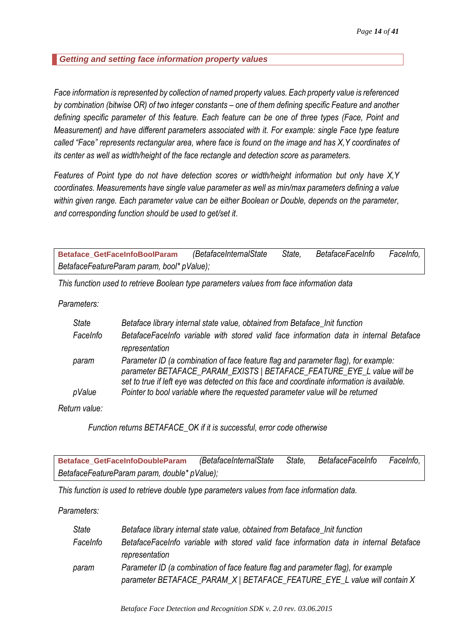<span id="page-14-0"></span>*Getting and setting face information property values*

*Face information is represented by collection of named property values. Each property value is referenced by combination (bitwise OR) of two integer constants – one of them defining specific Feature and another defining specific parameter of this feature. Each feature can be one of three types (Face, Point and Measurement) and have different parameters associated with it. For example: single Face type feature called "Face" represents rectangular area, where face is found on the image and has X,Y coordinates of its center as well as width/height of the face rectangle and detection score as parameters.* 

*Features of Point type do not have detection scores or width/height information but only have X,Y coordinates. Measurements have single value parameter as well as min/max parameters defining a value within given range. Each parameter value can be either Boolean or Double, depends on the parameter, and corresponding function should be used to get/set it.*

<span id="page-14-1"></span>**Betaface\_GetFaceInfoBoolParam** *(BetafaceInternalState State, BetafaceFaceInfo FaceInfo, BetafaceFeatureParam param, bool\* pValue);*

*This function used to retrieve Boolean type parameters values from face information data*

*Parameters:*

| <b>State</b> | Betaface library internal state value, obtained from Betaface_Init function                                                                                                                                                                                |
|--------------|------------------------------------------------------------------------------------------------------------------------------------------------------------------------------------------------------------------------------------------------------------|
| FaceInfo     | BetafaceFaceInfo variable with stored valid face information data in internal Betaface<br>representation                                                                                                                                                   |
| param        | Parameter ID (a combination of face feature flag and parameter flag), for example:<br>parameter BETAFACE_PARAM_EXISTS   BETAFACE_FEATURE_EYE_L value will be<br>set to true if left eye was detected on this face and coordinate information is available. |
| pValue       | Pointer to bool variable where the requested parameter value will be returned                                                                                                                                                                              |

*Return value:*

*Function returns BETAFACE\_OK if it is successful, error code otherwise*

<span id="page-14-2"></span>**Betaface\_GetFaceInfoDoubleParam** *(BetafaceInternalState State, BetafaceFaceInfo FaceInfo, BetafaceFeatureParam param, double\* pValue);*

*This function is used to retrieve double type parameters values from face information data.*

*Parameters:*

| State    | Betaface library internal state value, obtained from Betaface_Init function            |
|----------|----------------------------------------------------------------------------------------|
| FaceInfo | BetafaceFaceInfo variable with stored valid face information data in internal Betaface |
|          | representation                                                                         |
| param    | Parameter ID (a combination of face feature flag and parameter flag), for example      |
|          | parameter BETAFACE_PARAM_X   BETAFACE_FEATURE_EYE_L value will contain X               |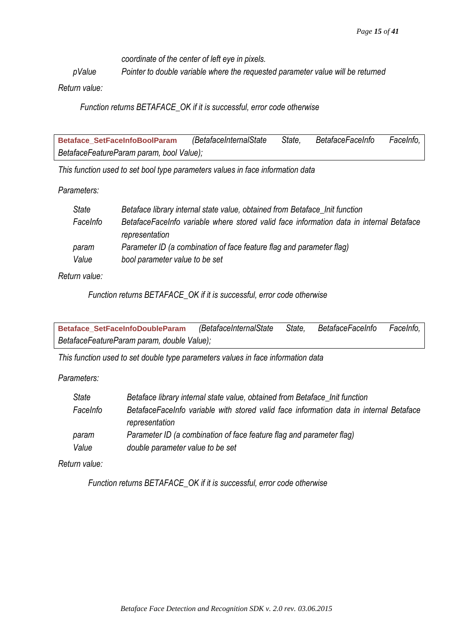*coordinate of the center of left eye in pixels.*

*pValue Pointer to double variable where the requested parameter value will be returned*

*Return value:*

*Function returns BETAFACE\_OK if it is successful, error code otherwise*

<span id="page-15-0"></span>**Betaface\_SetFaceInfoBoolParam** *(BetafaceInternalState State, BetafaceFaceInfo FaceInfo, BetafaceFeatureParam param, bool Value);*

*This function used to set bool type parameters values in face information data*

*Parameters:*

| State    | Betaface library internal state value, obtained from Betaface_Init function             |
|----------|-----------------------------------------------------------------------------------------|
| FaceInfo | BetafaceFaceInfo variable where stored valid face information data in internal Betaface |
|          | representation                                                                          |
| param    | Parameter ID (a combination of face feature flag and parameter flag)                    |
| Value    | bool parameter value to be set                                                          |

*Return value:*

*Function returns BETAFACE\_OK if it is successful, error code otherwise*

<span id="page-15-1"></span>**Betaface\_SetFaceInfoDoubleParam** *(BetafaceInternalState State, BetafaceFaceInfo FaceInfo, BetafaceFeatureParam param, double Value);*

*This function used to set double type parameters values in face information data*

*Parameters:*

| State    | Betaface library internal state value, obtained from Betaface_Init function            |
|----------|----------------------------------------------------------------------------------------|
| FaceInfo | BetafaceFaceInfo variable with stored valid face information data in internal Betaface |
|          | representation                                                                         |
| param    | Parameter ID (a combination of face feature flag and parameter flag)                   |
| Value    | double parameter value to be set                                                       |

*Return value:*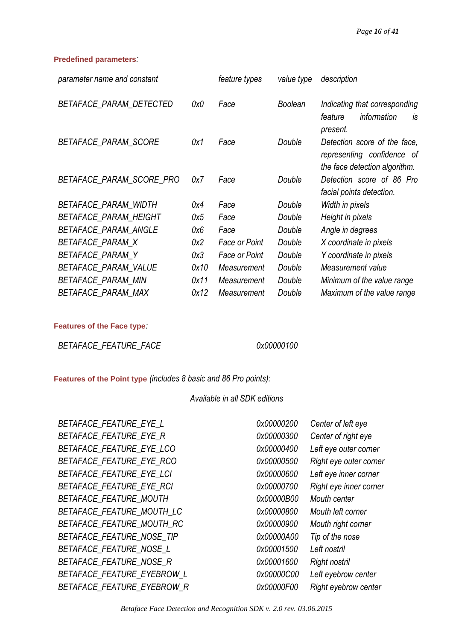#### <span id="page-16-0"></span>**Predefined parameters***:*

| parameter name and constant |      | feature types        | value type     | description                                                                                 |
|-----------------------------|------|----------------------|----------------|---------------------------------------------------------------------------------------------|
| BETAFACE_PARAM_DETECTED     | 0x0  | Face                 | <b>Boolean</b> | Indicating that corresponding<br>information<br>feature<br>is<br>present.                   |
| BETAFACE_PARAM_SCORE        | 0x1  | Face                 | Double         | Detection score of the face,<br>representing confidence of<br>the face detection algorithm. |
| BETAFACE_PARAM_SCORE_PRO    | 0x7  | Face                 | Double         | Detection score of 86 Pro<br>facial points detection.                                       |
| BETAFACE_PARAM_WIDTH        | 0x4  | Face                 | Double         | Width in pixels                                                                             |
| BETAFACE_PARAM_HEIGHT       | 0x5  | Face                 | Double         | Height in pixels                                                                            |
| BETAFACE_PARAM_ANGLE        | 0x6  | Face                 | Double         | Angle in degrees                                                                            |
| BETAFACE_PARAM_X            | 0x2  | <b>Face or Point</b> | Double         | X coordinate in pixels                                                                      |
| BETAFACE_PARAM_Y            | 0x3  | <b>Face or Point</b> | Double         | Y coordinate in pixels                                                                      |
| BETAFACE_PARAM_VALUE        | 0x10 | Measurement          | Double         | Measurement value                                                                           |
| BETAFACE_PARAM_MIN          | 0x11 | Measurement          | Double         | Minimum of the value range                                                                  |
| BETAFACE_PARAM_MAX          | 0x12 | Measurement          | Double         | Maximum of the value range                                                                  |

#### <span id="page-16-1"></span>**Features of the Face type***:*

*BETAFACE\_FEATURE\_FACE 0x00000100*

<span id="page-16-2"></span>**Features of the Point type** *(includes 8 basic and 86 Pro points):*

### *Available in all SDK editions*

*BETAFACE\_FEATURE\_EYE\_L 0x00000200 Center of left eye BETAFACE\_FEATURE\_EYE\_R 0x00000300 Center of right eye BETAFACE\_FEATURE\_EYE\_LCO 0x00000400 Left eye outer corner BETAFACE\_FEATURE\_EYE\_RCO 0x00000500 Right eye outer corner BETAFACE\_FEATURE\_EYE\_LCI 0x00000600 Left eye inner corner BETAFACE\_FEATURE\_EYE\_RCI 0x00000700 Right eye inner corner BETAFACE\_FEATURE\_MOUTH 0x00000B00 Mouth center BETAFACE\_FEATURE\_MOUTH\_LC 0x00000800 Mouth left corner BETAFACE\_FEATURE\_MOUTH\_RC 0x00000900 Mouth right corner BETAFACE\_FEATURE\_NOSE\_TIP 0x00000A00 Tip of the nose BETAFACE\_FEATURE\_NOSE\_L 0x00001500 Left nostril BETAFACE\_FEATURE\_NOSE\_R 0x00001600 Right nostril BETAFACE\_FEATURE\_EYEBROW\_L 0x00000C00 Left eyebrow center BETAFACE\_FEATURE\_EYEBROW\_R 0x00000F00 Right eyebrow center*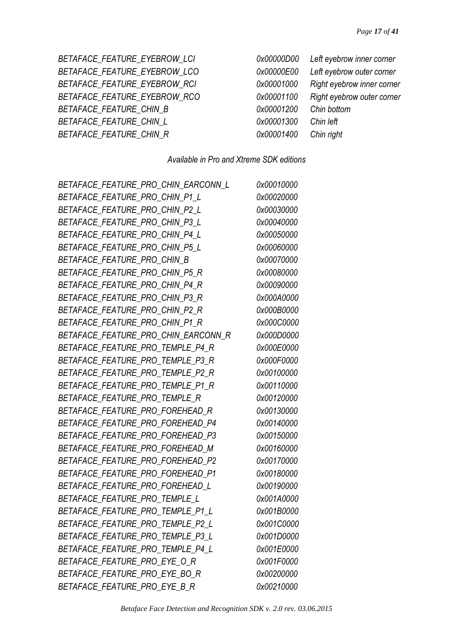*BETAFACE\_FEATURE\_EYEBROW\_LCI 0x00000D00 Left eyebrow inner corner BETAFACE\_FEATURE\_EYEBROW\_LCO 0x00000E00 Left eyebrow outer corner BETAFACE\_FEATURE\_EYEBROW\_RCI 0x00001000 Right eyebrow inner corner BETAFACE\_FEATURE\_EYEBROW\_RCO 0x00001100 Right eyebrow outer corner BETAFACE\_FEATURE\_CHIN\_B 0x00001200 Chin bottom BETAFACE\_FEATURE\_CHIN\_L 0x00001300 Chin left BETAFACE\_FEATURE\_CHIN\_R 0x00001400 Chin right*

| x00000D00  | Left eyebrow inner corner  |
|------------|----------------------------|
| x00000E00  | Left eyebrow outer corner  |
| 0x00001000 | Right eyebrow inner corner |
| 0x00001100 | Right eyebrow outer corne. |
| 0x00001200 | Chin bottom                |
| 0x00001300 | Chin left                  |
| 0x00001400 | Chin right                 |

# *Available in Pro and Xtreme SDK editions*

| BETAFACE FEATURE PRO CHIN EARCONN L | 0x00010000 |
|-------------------------------------|------------|
| BETAFACE_FEATURE_PRO_CHIN_P1_L      | 0x00020000 |
| BETAFACE_FEATURE_PRO_CHIN_P2_L      | 0x00030000 |
| BETAFACE_FEATURE_PRO_CHIN_P3_L      | 0x00040000 |
| BETAFACE FEATURE PRO CHIN P4 L      | 0x00050000 |
| BETAFACE_FEATURE_PRO_CHIN_P5_L      | 0x00060000 |
| BETAFACE FEATURE PRO CHIN B         | 0x00070000 |
| BETAFACE FEATURE PRO CHIN P5 R      | 0x00080000 |
| BETAFACE_FEATURE_PRO_CHIN_P4_R      | 0x00090000 |
| BETAFACE_FEATURE_PRO_CHIN_P3_R      | 0x000A0000 |
| BETAFACE_FEATURE_PRO_CHIN_P2_R      | 0x000B0000 |
| BETAFACE_FEATURE_PRO_CHIN_P1_R      | 0x000C0000 |
| BETAFACE FEATURE PRO CHIN EARCONN R | 0x000D0000 |
| BETAFACE_FEATURE_PRO_TEMPLE_P4_R    | 0x000E0000 |
| BETAFACE_FEATURE_PRO_TEMPLE_P3_R    | 0x000F0000 |
| BETAFACE_FEATURE_PRO_TEMPLE_P2_R    | 0x00100000 |
| BETAFACE_FEATURE_PRO_TEMPLE_P1_R    | 0x00110000 |
| BETAFACE_FEATURE_PRO_TEMPLE_R       | 0x00120000 |
| BETAFACE_FEATURE_PRO_FOREHEAD_R     | 0x00130000 |
| BETAFACE_FEATURE_PRO_FOREHEAD_P4    | 0x00140000 |
| BETAFACE_FEATURE_PRO_FOREHEAD_P3    | 0x00150000 |
| BETAFACE_FEATURE_PRO_FOREHEAD_M     | 0x00160000 |
| BETAFACE_FEATURE_PRO_FOREHEAD_P2    | 0x00170000 |
| BETAFACE_FEATURE_PRO_FOREHEAD_P1    | 0x00180000 |
| BETAFACE_FEATURE_PRO_FOREHEAD_L     | 0x00190000 |
| BETAFACE_FEATURE_PRO_TEMPLE_L       | 0x001A0000 |
| BETAFACE_FEATURE_PRO_TEMPLE_P1_L    | 0x001B0000 |
| BETAFACE_FEATURE_PRO_TEMPLE_P2_L    | 0x001C0000 |
| BETAFACE FEATURE PRO TEMPLE P3 L    | 0x001D0000 |
| BETAFACE FEATURE PRO TEMPLE P4 L    | 0x001E0000 |
| BETAFACE_FEATURE_PRO_EYE_O_R        | 0x001F0000 |
| BETAFACE_FEATURE_PRO_EYE_BO_R       | 0x00200000 |
| BETAFACE_FEATURE_PRO_EYE_B_R        | 0x00210000 |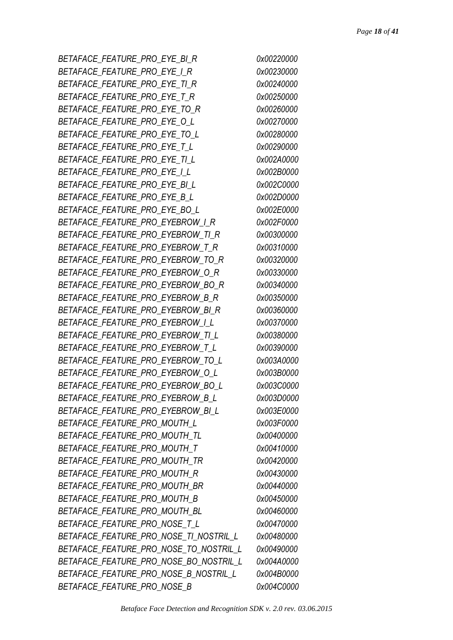*BETAFACE\_FEATURE\_PRO\_EYE\_BI\_R 0x00220000 BETAFACE\_FEATURE\_PRO\_EYE\_I\_R 0x00230000 BETAFACE\_FEATURE\_PRO\_EYE\_TI\_R 0x00240000 BETAFACE\_FEATURE\_PRO\_EYE\_T\_R 0x00250000 BETAFACE\_FEATURE\_PRO\_EYE\_TO\_R 0x00260000 BETAFACE\_FEATURE\_PRO\_EYE\_O\_L 0x00270000 BETAFACE\_FEATURE\_PRO\_EYE\_TO\_L 0x00280000 BETAFACE\_FEATURE\_PRO\_EYE\_T\_L 0x00290000 BETAFACE\_FEATURE\_PRO\_EYE\_TI\_L 0x002A0000 BETAFACE\_FEATURE\_PRO\_EYE\_I\_L 0x002B0000 BETAFACE\_FEATURE\_PRO\_EYE\_BI\_L 0x002C0000 BETAFACE\_FEATURE\_PRO\_EYE\_B\_L 0x002D0000 BETAFACE\_FEATURE\_PRO\_EYE\_BO\_L 0x002E0000 BETAFACE\_FEATURE\_PRO\_EYEBROW\_I\_R 0x002F0000 BETAFACE\_FEATURE\_PRO\_EYEBROW\_TI\_R 0x00300000 BETAFACE\_FEATURE\_PRO\_EYEBROW\_T\_R 0x00310000 BETAFACE\_FEATURE\_PRO\_EYEBROW\_TO\_R 0x00320000 BETAFACE\_FEATURE\_PRO\_EYEBROW\_O\_R 0x00330000 BETAFACE\_FEATURE\_PRO\_EYEBROW\_BO\_R 0x00340000 BETAFACE\_FEATURE\_PRO\_EYEBROW\_B\_R 0x00350000 BETAFACE\_FEATURE\_PRO\_EYEBROW\_BI\_R 0x00360000 BETAFACE\_FEATURE\_PRO\_EYEBROW\_I\_L 0x00370000 BETAFACE\_FEATURE\_PRO\_EYEBROW\_TI\_L 0x00380000 BETAFACE\_FEATURE\_PRO\_EYEBROW\_T\_L 0x00390000 BETAFACE\_FEATURE\_PRO\_EYEBROW\_TO\_L 0x003A0000 BETAFACE\_FEATURE\_PRO\_EYEBROW\_O\_L 0x003B0000 BETAFACE\_FEATURE\_PRO\_EYEBROW\_BO\_L 0x003C0000 BETAFACE\_FEATURE\_PRO\_EYEBROW\_B\_L 0x003D0000 BETAFACE\_FEATURE\_PRO\_EYEBROW\_BI\_L 0x003E0000 BETAFACE\_FEATURE\_PRO\_MOUTH\_L 0x003F0000 BETAFACE\_FEATURE\_PRO\_MOUTH\_TL 0x00400000 BETAFACE\_FEATURE\_PRO\_MOUTH\_T 0x00410000 BETAFACE\_FEATURE\_PRO\_MOUTH\_TR 0x00420000 BETAFACE\_FEATURE\_PRO\_MOUTH\_R 0x00430000 BETAFACE\_FEATURE\_PRO\_MOUTH\_BR 0x00440000 BETAFACE\_FEATURE\_PRO\_MOUTH\_B 0x00450000 BETAFACE\_FEATURE\_PRO\_MOUTH\_BL 0x00460000 BETAFACE\_FEATURE\_PRO\_NOSE\_T\_L 0x00470000 BETAFACE\_FEATURE\_PRO\_NOSE\_TI\_NOSTRIL\_L 0x00480000 BETAFACE\_FEATURE\_PRO\_NOSE\_TO\_NOSTRIL\_L 0x00490000 BETAFACE\_FEATURE\_PRO\_NOSE\_BO\_NOSTRIL\_L 0x004A0000 BETAFACE\_FEATURE\_PRO\_NOSE\_B\_NOSTRIL\_L 0x004B0000 BETAFACE\_FEATURE\_PRO\_NOSE\_B 0x004C0000*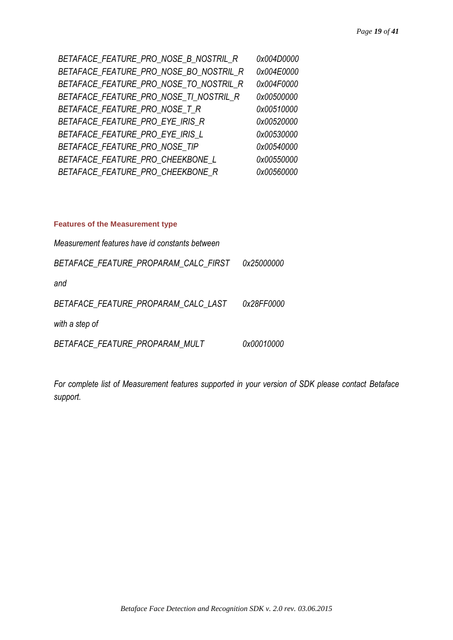| BETAFACE FEATURE PRO NOSE B NOSTRIL R  | 0x004D0000 |
|----------------------------------------|------------|
| BETAFACE FEATURE PRO NOSE BO NOSTRIL R | 0x004E0000 |
| BETAFACE FEATURE PRO NOSE TO NOSTRIL R | 0x004F0000 |
| BETAFACE FEATURE PRO NOSE TI NOSTRIL R | 0x00500000 |
| BETAFACE FEATURE PRO NOSE T R          | 0x00510000 |
| BETAFACE FEATURE PRO EYE IRIS R        | 0x00520000 |
| BETAFACE FEATURE PRO EYE IRIS L        | 0x00530000 |
| BETAFACE FEATURE PRO NOSE TIP          | 0x00540000 |
| BETAFACE FEATURE PRO CHEEKBONE L       | 0x00550000 |
| BETAFACE FEATURE PRO CHEEKBONE R       | 0x00560000 |

#### <span id="page-19-0"></span>**Features of the Measurement type**

| Measurement features have id constants between |            |
|------------------------------------------------|------------|
| BETAFACE FEATURE PROPARAM CALC FIRST           | 0x25000000 |
| and                                            |            |
| BETAFACE FEATURE PROPARAM CALC LAST            | 0x28FF0000 |
| with a step of                                 |            |
| BETAFACE_FEATURE_PROPARAM MULT                 | 0x00010000 |

*For complete list of Measurement features supported in your version of SDK please contact Betaface support.*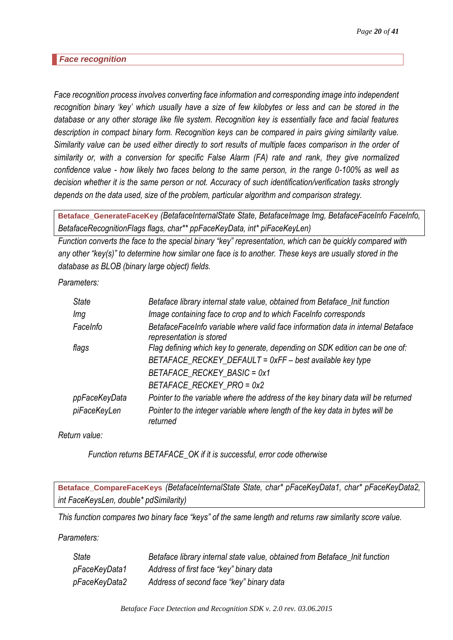#### <span id="page-20-0"></span>*Face recognition*

*Face recognition process involves converting face information and corresponding image into independent recognition binary 'key' which usually have a size of few kilobytes or less and can be stored in the database or any other storage like file system. Recognition key is essentially face and facial features description in compact binary form. Recognition keys can be compared in pairs giving similarity value. Similarity value can be used either directly to sort results of multiple faces comparison in the order of similarity or, with a conversion for specific False Alarm (FA) rate and rank, they give normalized confidence value - how likely two faces belong to the same person, in the range 0-100% as well as decision whether it is the same person or not. Accuracy of such identification/verification tasks strongly depends on the data used, size of the problem, particular algorithm and comparison strategy.*

<span id="page-20-1"></span>**Betaface\_GenerateFaceKey** *(BetafaceInternalState State, BetafaceImage Img, BetafaceFaceInfo FaceInfo, BetafaceRecognitionFlags flags, char\*\* ppFaceKeyData, int\* piFaceKeyLen)*

*Function converts the face to the special binary "key" representation, which can be quickly compared with any other "key(s)" to determine how similar one face is to another. These keys are usually stored in the database as BLOB (binary large object) fields.*

*Parameters:*

| <b>State</b>  | Betaface library internal state value, obtained from Betaface_Init function                                  |
|---------------|--------------------------------------------------------------------------------------------------------------|
| Img           | Image containing face to crop and to which FaceInfo corresponds                                              |
| FaceInfo      | BetafaceFaceInfo variable where valid face information data in internal Betaface<br>representation is stored |
| flags         | Flag defining which key to generate, depending on SDK edition can be one of:                                 |
|               | BETAFACE_RECKEY_DEFAULT = 0xFF - best available key type                                                     |
|               | BETAFACE RECKEY BASIC = 0x1                                                                                  |
|               | BETAFACE RECKEY PRO = 0x2                                                                                    |
| ppFaceKeyData | Pointer to the variable where the address of the key binary data will be returned                            |
| piFaceKeyLen  | Pointer to the integer variable where length of the key data in bytes will be<br>returned                    |

*Return value:*

*Function returns BETAFACE\_OK if it is successful, error code otherwise*

<span id="page-20-2"></span>**Betaface\_CompareFaceKeys** *(BetafaceInternalState State, char\* pFaceKeyData1, char\* pFaceKeyData2, int FaceKeysLen, double\* pdSimilarity)*

*This function compares two binary face "keys" of the same length and returns raw similarity score value.* 

*Parameters:*

| State         | Betaface library internal state value, obtained from Betaface_Init function |
|---------------|-----------------------------------------------------------------------------|
| pFaceKeyData1 | Address of first face "key" binary data                                     |
| pFaceKeyData2 | Address of second face "key" binary data                                    |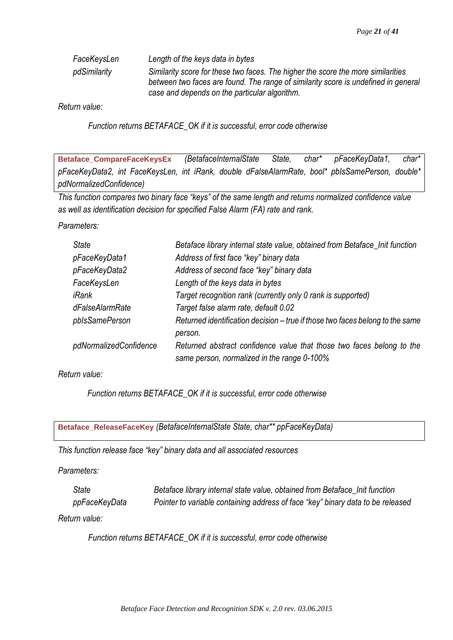| FaceKeysLen  | Length of the keys data in bytes                                                                                                                                                                                        |
|--------------|-------------------------------------------------------------------------------------------------------------------------------------------------------------------------------------------------------------------------|
| pdSimilarity | Similarity score for these two faces. The higher the score the more similarities<br>between two faces are found. The range of similarity score is undefined in general<br>case and depends on the particular algorithm. |

*Return value:*

*Function returns BETAFACE\_OK if it is successful, error code otherwise*

<span id="page-21-0"></span>**Betaface\_CompareFaceKeysEx** *(BetafaceInternalState State, char\* pFaceKeyData1, char\* pFaceKeyData2, int FaceKeysLen, int iRank, double dFalseAlarmRate, bool\* pbIsSamePerson, double\* pdNormalizedConfidence)*

*This function compares two binary face "keys" of the same length and returns normalized confidence value as well as identification decision for specified False Alarm (FA) rate and rank.*

*Parameters:*

| <b>State</b>           | Betaface library internal state value, obtained from Betaface_Init function                                          |
|------------------------|----------------------------------------------------------------------------------------------------------------------|
| pFaceKeyData1          | Address of first face "key" binary data                                                                              |
| pFaceKeyData2          | Address of second face "key" binary data                                                                             |
| FaceKeysLen            | Length of the keys data in bytes                                                                                     |
| iRank                  | Target recognition rank (currently only 0 rank is supported)                                                         |
| dFalseAlarmRate        | Target false alarm rate, default 0.02                                                                                |
| pblsSamePerson         | Returned identification decision – true if those two faces belong to the same<br>person.                             |
| pdNormalizedConfidence | Returned abstract confidence value that those two faces belong to the<br>same person, normalized in the range 0-100% |

*Return value:*

*Function returns BETAFACE\_OK if it is successful, error code otherwise*

<span id="page-21-1"></span>**Betaface\_ReleaseFaceKey** *(BetafaceInternalState State, char\*\* ppFaceKeyData)*

*This function release face "key" binary data and all associated resources*

*Parameters:*

*State Betaface library internal state value, obtained from Betaface\_Init function ppFaceKeyData Pointer to variable containing address of face "key" binary data to be released*

*Return value:*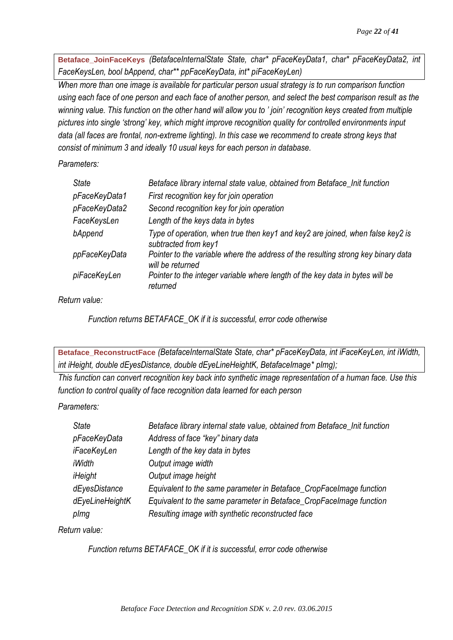<span id="page-22-0"></span>**Betaface\_JoinFaceKeys** *(BetafaceInternalState State, char\* pFaceKeyData1, char\* pFaceKeyData2, int FaceKeysLen, bool bAppend, char\*\* ppFaceKeyData, int\* piFaceKeyLen)*

*When more than one image is available for particular person usual strategy is to run comparison function using each face of one person and each face of another person, and select the best comparison result as the winning value. This function on the other hand will allow you to ' join' recognition keys created from multiple pictures into single 'strong' key, which might improve recognition quality for controlled environments input data (all faces are frontal, non-extreme lighting). In this case we recommend to create strong keys that consist of minimum 3 and ideally 10 usual keys for each person in database.*

*Parameters:*

| <b>State</b>  | Betaface library internal state value, obtained from Betaface_Init function                            |
|---------------|--------------------------------------------------------------------------------------------------------|
| pFaceKeyData1 | First recognition key for join operation                                                               |
| pFaceKeyData2 | Second recognition key for join operation                                                              |
| FaceKeysLen   | Length of the keys data in bytes                                                                       |
| bAppend       | Type of operation, when true then key1 and key2 are joined, when false key2 is<br>subtracted from key1 |
| ppFaceKeyData | Pointer to the variable where the address of the resulting strong key binary data<br>will be returned  |
| piFaceKeyLen  | Pointer to the integer variable where length of the key data in bytes will be<br>returned              |

*Return value:*

*Function returns BETAFACE\_OK if it is successful, error code otherwise*

<span id="page-22-1"></span>**Betaface\_ReconstructFace** *(BetafaceInternalState State, char\* pFaceKeyData, int iFaceKeyLen, int iWidth, int iHeight, double dEyesDistance, double dEyeLineHeightK, BetafaceImage\* pImg);*

*This function can convert recognition key back into synthetic image representation of a human face. Use this function to control quality of face recognition data learned for each person*

# *Parameters:*

| <b>State</b>    | Betaface library internal state value, obtained from Betaface_Init function |
|-----------------|-----------------------------------------------------------------------------|
| pFaceKeyData    | Address of face "key" binary data                                           |
| iFaceKeyLen     | Length of the key data in bytes                                             |
| iWidth          | Output image width                                                          |
| iHeight         | Output image height                                                         |
| dEyesDistance   | Equivalent to the same parameter in Betaface_CropFaceImage function         |
| dEyeLineHeightK | Equivalent to the same parameter in Betaface_CropFaceImage function         |
| plmg            | Resulting image with synthetic reconstructed face                           |

*Return value:*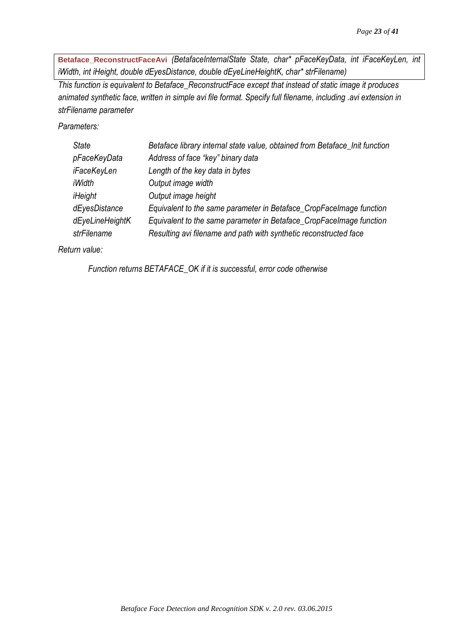<span id="page-23-0"></span>**Betaface\_ReconstructFaceAvi** *(BetafaceInternalState State, char\* pFaceKeyData, int iFaceKeyLen, int iWidth, int iHeight, double dEyesDistance, double dEyeLineHeightK, char\* strFilename)*

*This function is equivalent to Betaface\_ReconstructFace except that instead of static image it produces animated synthetic face, written in simple avi file format. Specify full filename, including .avi extension in strFilename parameter*

*Parameters:*

| <b>State</b>    | Betaface library internal state value, obtained from Betaface_Init function |
|-----------------|-----------------------------------------------------------------------------|
| pFaceKeyData    | Address of face "key" binary data                                           |
| iFaceKeyLen     | Length of the key data in bytes                                             |
| iWidth          | Output image width                                                          |
| iHeight         | Output image height                                                         |
| dEyesDistance   | Equivalent to the same parameter in Betaface_CropFaceImage function         |
| dEyeLineHeightK | Equivalent to the same parameter in Betaface_CropFaceImage function         |
| strFilename     | Resulting avi filename and path with synthetic reconstructed face           |
|                 |                                                                             |

*Return value:*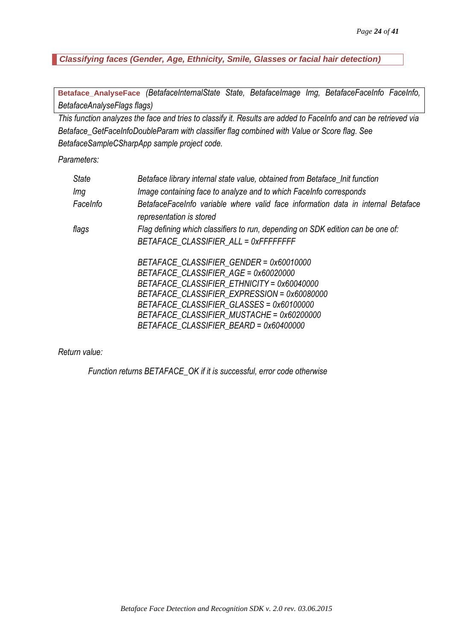<span id="page-24-0"></span>*Classifying faces (Gender, Age, Ethnicity, Smile, Glasses or facial hair detection)*

<span id="page-24-1"></span>**Betaface\_AnalyseFace** *(BetafaceInternalState State, BetafaceImage Img, BetafaceFaceInfo FaceInfo, BetafaceAnalyseFlags flags)*

*This function analyzes the face and tries to classify it. Results are added to FaceInfo and can be retrieved via Betaface\_GetFaceInfoDoubleParam with classifier flag combined with Value or Score flag. See BetafaceSampleCSharpApp sample project code.*

*Parameters:*

| <b>State</b> | Betaface library internal state value, obtained from Betaface_Init function                                  |
|--------------|--------------------------------------------------------------------------------------------------------------|
| Img          | Image containing face to analyze and to which FaceInfo corresponds                                           |
| FaceInfo     | BetafaceFaceInfo variable where valid face information data in internal Betaface<br>representation is stored |
| flags        | Flag defining which classifiers to run, depending on SDK edition can be one of:                              |
|              | BETAFACE_CLASSIFIER_ALL = 0xFFFFFFFF                                                                         |
|              | BETAFACE CLASSIFIER GENDER = 0x60010000                                                                      |
|              | BETAFACE CLASSIFIER AGE = 0x60020000                                                                         |
|              | BETAFACE CLASSIFIER ETHNICITY = 0x60040000                                                                   |
|              | BETAFACE CLASSIFIER EXPRESSION = 0x60080000                                                                  |
|              | BETAFACE CLASSIFIER GLASSES = 0x60100000                                                                     |
|              | BETAFACE CLASSIFIER MUSTACHE = 0x60200000                                                                    |
|              | BETAFACE CLASSIFIER BEARD = 0x60400000                                                                       |

*Return value:*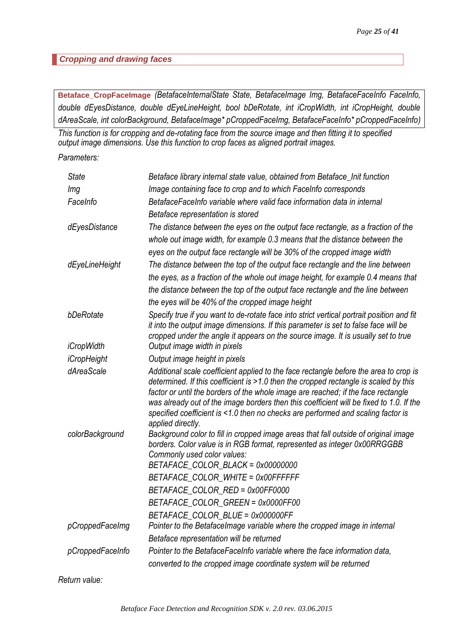#### <span id="page-25-0"></span>*Cropping and drawing faces*

<span id="page-25-1"></span>**Betaface\_CropFaceImage** *(BetafaceInternalState State, BetafaceImage Img, BetafaceFaceInfo FaceInfo, double dEyesDistance, double dEyeLineHeight, bool bDeRotate, int iCropWidth, int iCropHeight, double dAreaScale, int colorBackground, BetafaceImage\* pCroppedFaceImg, BetafaceFaceInfo\* pCroppedFaceInfo)*

*This function is for cropping and de-rotating face from the source image and then fitting it to specified output image dimensions. Use this function to crop faces as aligned portrait images.*

*Parameters:*

| <b>State</b>      | Betaface library internal state value, obtained from Betaface_Init function                                                                                                                                                                                                                                                                                                                                                                                            |
|-------------------|------------------------------------------------------------------------------------------------------------------------------------------------------------------------------------------------------------------------------------------------------------------------------------------------------------------------------------------------------------------------------------------------------------------------------------------------------------------------|
| Img               | Image containing face to crop and to which FaceInfo corresponds                                                                                                                                                                                                                                                                                                                                                                                                        |
| FaceInfo          | BetafaceFaceInfo variable where valid face information data in internal                                                                                                                                                                                                                                                                                                                                                                                                |
|                   | Betaface representation is stored                                                                                                                                                                                                                                                                                                                                                                                                                                      |
| dEyesDistance     | The distance between the eyes on the output face rectangle, as a fraction of the                                                                                                                                                                                                                                                                                                                                                                                       |
|                   | whole out image width, for example 0.3 means that the distance between the                                                                                                                                                                                                                                                                                                                                                                                             |
|                   | eyes on the output face rectangle will be 30% of the cropped image width                                                                                                                                                                                                                                                                                                                                                                                               |
| dEyeLineHeight    | The distance between the top of the output face rectangle and the line between                                                                                                                                                                                                                                                                                                                                                                                         |
|                   | the eyes, as a fraction of the whole out image height, for example 0.4 means that                                                                                                                                                                                                                                                                                                                                                                                      |
|                   | the distance between the top of the output face rectangle and the line between                                                                                                                                                                                                                                                                                                                                                                                         |
|                   | the eyes will be 40% of the cropped image height                                                                                                                                                                                                                                                                                                                                                                                                                       |
| bDeRotate         | Specify true if you want to de-rotate face into strict vertical portrait position and fit<br>it into the output image dimensions. If this parameter is set to false face will be<br>cropped under the angle it appears on the source image. It is usually set to true                                                                                                                                                                                                  |
| <i>iCropWidth</i> | Output image width in pixels                                                                                                                                                                                                                                                                                                                                                                                                                                           |
| iCropHeight       | Output image height in pixels                                                                                                                                                                                                                                                                                                                                                                                                                                          |
| dAreaScale        | Additional scale coefficient applied to the face rectangle before the area to crop is<br>determined. If this coefficient is >1.0 then the cropped rectangle is scaled by this<br>factor or until the borders of the whole image are reached; if the face rectangle<br>was already out of the image borders then this coefficient will be fixed to 1.0. If the<br>specified coefficient is <1.0 then no checks are performed and scaling factor is<br>applied directly. |
| colorBackground   | Background color to fill in cropped image areas that fall outside of original image<br>borders. Color value is in RGB format, represented as integer 0x00RRGGBB<br>Commonly used color values:                                                                                                                                                                                                                                                                         |
|                   | BETAFACE_COLOR_BLACK = 0x00000000                                                                                                                                                                                                                                                                                                                                                                                                                                      |
|                   | BETAFACE_COLOR_WHITE = 0x00FFFFFF                                                                                                                                                                                                                                                                                                                                                                                                                                      |
|                   | BETAFACE COLOR RED = 0x00FF0000                                                                                                                                                                                                                                                                                                                                                                                                                                        |
|                   | BETAFACE_COLOR_GREEN = 0x0000FF00                                                                                                                                                                                                                                                                                                                                                                                                                                      |
|                   | BETAFACE_COLOR_BLUE = 0x000000FF                                                                                                                                                                                                                                                                                                                                                                                                                                       |
| pCroppedFaceImg   | Pointer to the BetafaceImage variable where the cropped image in internal<br>Betaface representation will be returned                                                                                                                                                                                                                                                                                                                                                  |
| pCroppedFaceInfo  | Pointer to the BetafaceFaceInfo variable where the face information data,                                                                                                                                                                                                                                                                                                                                                                                              |
|                   | converted to the cropped image coordinate system will be returned                                                                                                                                                                                                                                                                                                                                                                                                      |
|                   |                                                                                                                                                                                                                                                                                                                                                                                                                                                                        |

*Return value:*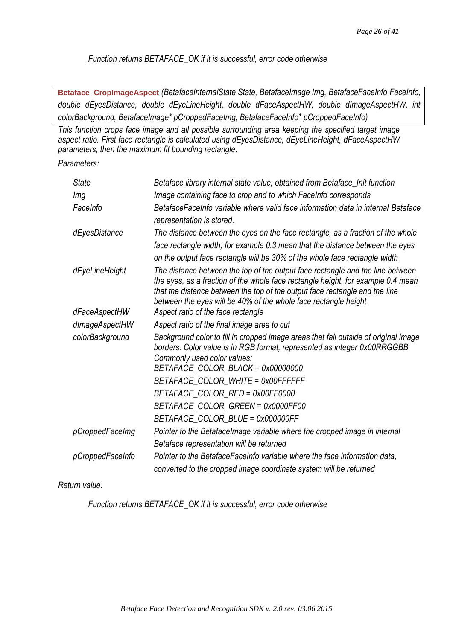*Function returns BETAFACE\_OK if it is successful, error code otherwise*

<span id="page-26-0"></span>**Betaface\_CropImageAspect** *(BetafaceInternalState State, BetafaceImage Img, BetafaceFaceInfo FaceInfo, double dEyesDistance, double dEyeLineHeight, double dFaceAspectHW, double dImageAspectHW, int colorBackground, BetafaceImage\* pCroppedFaceImg, BetafaceFaceInfo\* pCroppedFaceInfo)*

*This function crops face image and all possible surrounding area keeping the specified target image aspect ratio. First face rectangle is calculated using dEyesDistance, dEyeLineHeight, dFaceAspectHW parameters, then the maximum fit bounding rectangle.*

*Parameters:*

| <b>State</b>     | Betaface library internal state value, obtained from Betaface_Init function                                                                                                                                                                                                                                          |
|------------------|----------------------------------------------------------------------------------------------------------------------------------------------------------------------------------------------------------------------------------------------------------------------------------------------------------------------|
| Img              | Image containing face to crop and to which FaceInfo corresponds                                                                                                                                                                                                                                                      |
| FaceInfo         | BetafaceFaceInfo variable where valid face information data in internal Betaface<br>representation is stored.                                                                                                                                                                                                        |
| dEyesDistance    | The distance between the eyes on the face rectangle, as a fraction of the whole<br>face rectangle width, for example 0.3 mean that the distance between the eyes<br>on the output face rectangle will be 30% of the whole face rectangle width                                                                       |
| dEyeLineHeight   | The distance between the top of the output face rectangle and the line between<br>the eyes, as a fraction of the whole face rectangle height, for example 0.4 mean<br>that the distance between the top of the output face rectangle and the line<br>between the eyes will be 40% of the whole face rectangle height |
| dFaceAspectHW    | Aspect ratio of the face rectangle                                                                                                                                                                                                                                                                                   |
| dImageAspectHW   | Aspect ratio of the final image area to cut                                                                                                                                                                                                                                                                          |
| colorBackground  | Background color to fill in cropped image areas that fall outside of original image<br>borders. Color value is in RGB format, represented as integer 0x00RRGGBB.<br>Commonly used color values:<br>BETAFACE_COLOR_BLACK = 0x00000000                                                                                 |
|                  | BETAFACE_COLOR_WHITE = 0x00FFFFFF                                                                                                                                                                                                                                                                                    |
|                  | BETAFACE_COLOR_RED = 0x00FF0000                                                                                                                                                                                                                                                                                      |
|                  | BETAFACE_COLOR_GREEN = 0x0000FF00                                                                                                                                                                                                                                                                                    |
|                  | BETAFACE_COLOR_BLUE = 0x000000FF                                                                                                                                                                                                                                                                                     |
| pCroppedFaceImg  | Pointer to the BetafaceImage variable where the cropped image in internal                                                                                                                                                                                                                                            |
|                  | Betaface representation will be returned                                                                                                                                                                                                                                                                             |
| pCroppedFaceInfo | Pointer to the BetafaceFaceInfo variable where the face information data,                                                                                                                                                                                                                                            |
|                  | converted to the cropped image coordinate system will be returned                                                                                                                                                                                                                                                    |

*Return value:*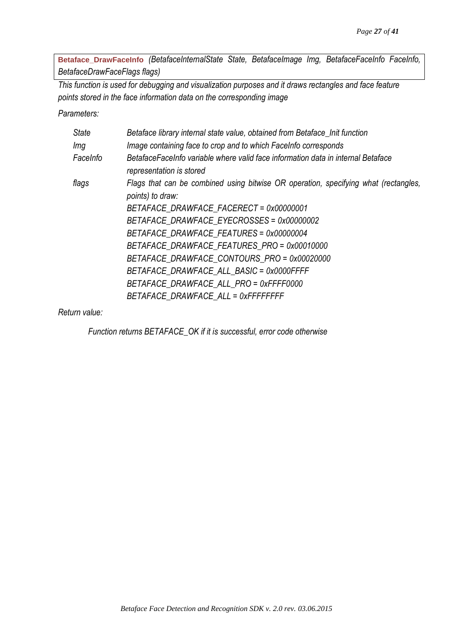<span id="page-27-0"></span>**Betaface\_DrawFaceInfo** *(BetafaceInternalState State, BetafaceImage Img, BetafaceFaceInfo FaceInfo, BetafaceDrawFaceFlags flags)*

*This function is used for debugging and visualization purposes and it draws rectangles and face feature points stored in the face information data on the corresponding image*

*Parameters:*

| <b>State</b> | Betaface library internal state value, obtained from Betaface_Init function                                  |
|--------------|--------------------------------------------------------------------------------------------------------------|
| lmg          | Image containing face to crop and to which FaceInfo corresponds                                              |
| FaceInfo     | BetafaceFaceInfo variable where valid face information data in internal Betaface<br>representation is stored |
| flags        | Flags that can be combined using bitwise OR operation, specifying what (rectangles,<br>points) to draw:      |
|              | BETAFACE DRAWFACE FACERECT = 0x00000001                                                                      |
|              | BETAFACE DRAWFACE EYECROSSES = 0x00000002                                                                    |
|              | BETAFACE DRAWFACE FEATURES = 0x00000004                                                                      |
|              | BETAFACE DRAWFACE FEATURES PRO = 0x00010000                                                                  |
|              | BETAFACE DRAWFACE CONTOURS PRO = 0x00020000                                                                  |
|              | BETAFACE DRAWFACE ALL BASIC = 0x0000FFFF                                                                     |
|              | BETAFACE DRAWFACE ALL PRO = 0xFFFF0000                                                                       |
|              | BETAFACE DRAWFACE ALL = 0xFFFFFFFF                                                                           |

*Return value:*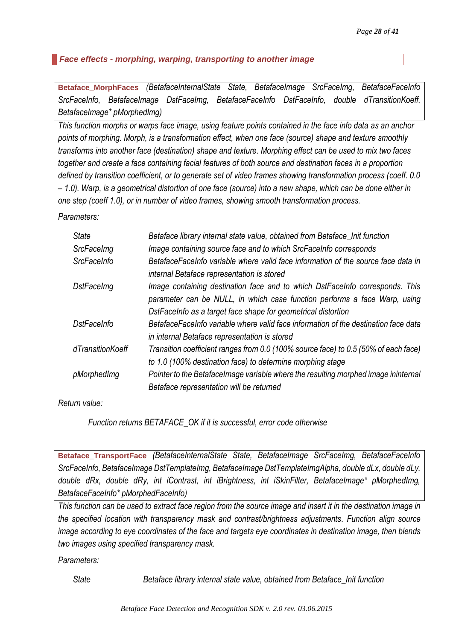<span id="page-28-0"></span>*Face effects - morphing, warping, transporting to another image*

<span id="page-28-1"></span>**Betaface\_MorphFaces** *(BetafaceInternalState State, BetafaceImage SrcFaceImg, BetafaceFaceInfo SrcFaceInfo, BetafaceImage DstFaceImg, BetafaceFaceInfo DstFaceInfo, double dTransitionKoeff, BetafaceImage\* pMorphedImg)*

*This function morphs or warps face image, using feature points contained in the face info data as an anchor points of morphing. Morph, is a transformation effect, when one face (source) shape and texture smoothly transforms into another face (destination) shape and texture. Morphing effect can be used to mix two faces together and create a face containing facial features of both source and destination faces in a proportion defined by transition coefficient, or to generate set of video frames showing transformation process (coeff. 0.0 – 1.0). Warp, is a geometrical distortion of one face (source) into a new shape, which can be done either in one step (coeff 1.0), or in number of video frames, showing smooth transformation process.*

*Parameters:*

| <b>State</b>       | Betaface library internal state value, obtained from Betaface_Init function         |
|--------------------|-------------------------------------------------------------------------------------|
| SrcFaceImg         | Image containing source face and to which SrcFaceInfo corresponds                   |
| <b>SrcFaceInfo</b> | BetafaceFaceInfo variable where valid face information of the source face data in   |
|                    | internal Betaface representation is stored                                          |
| <b>DstFaceImg</b>  | Image containing destination face and to which DstFaceInfo corresponds. This        |
|                    | parameter can be NULL, in which case function performs a face Warp, using           |
|                    | DstFaceInfo as a target face shape for geometrical distortion                       |
| <b>DstFaceInfo</b> | BetafaceFaceInfo variable where valid face information of the destination face data |
|                    | in internal Betaface representation is stored                                       |
| dTransitionKoeff   | Transition coefficient ranges from 0.0 (100% source face) to 0.5 (50% of each face) |
|                    | to 1.0 (100% destination face) to determine morphing stage                          |
| pMorphedImg        | Pointer to the Betafacelmage variable where the resulting morphed image ininternal  |
|                    | Betaface representation will be returned                                            |

*Return value:*

*Function returns BETAFACE\_OK if it is successful, error code otherwise*

<span id="page-28-2"></span>**Betaface\_TransportFace** *(BetafaceInternalState State, BetafaceImage SrcFaceImg, BetafaceFaceInfo SrcFaceInfo, BetafaceImage DstTemplateImg, BetafaceImage DstTemplateImgAlpha, double dLx, double dLy, double dRx, double dRy, int iContrast, int iBrightness, int iSkinFilter, BetafaceImage\* pMorphedImg, BetafaceFaceInfo\* pMorphedFaceInfo)*

*This function can be used to extract face region from the source image and insert it in the destination image in the specified location with transparency mask and contrast/brightness adjustments. Function align source image according to eye coordinates of the face and targets eye coordinates in destination image, then blends two images using specified transparency mask.* 

*Parameters:*

*State Betaface library internal state value, obtained from Betaface\_Init function*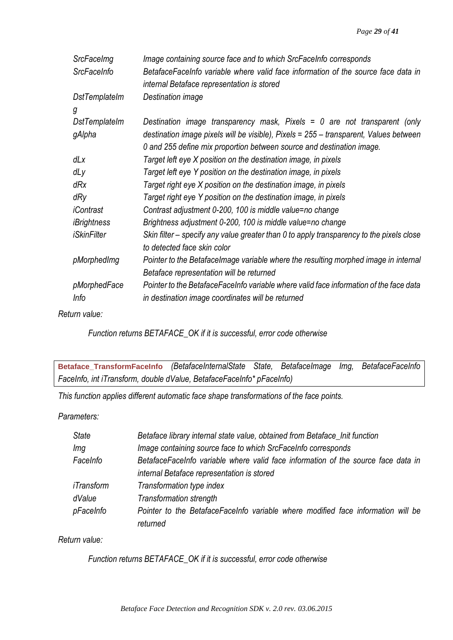| SrcFaceImg           | Image containing source face and to which SrcFaceInfo corresponds                        |
|----------------------|------------------------------------------------------------------------------------------|
| <b>SrcFaceInfo</b>   | BetafaceFaceInfo variable where valid face information of the source face data in        |
|                      | internal Betaface representation is stored                                               |
| <b>DstTemplateIm</b> | Destination image                                                                        |
| g                    |                                                                                          |
| DstTemplateIm        | Destination image transparency mask, Pixels = $0$ are not transparent (only              |
| gAlpha               | destination image pixels will be visible), Pixels = 255 - transparent, Values between    |
|                      | 0 and 255 define mix proportion between source and destination image.                    |
| dLx                  | Target left eye X position on the destination image, in pixels                           |
| dLy                  | Target left eye Y position on the destination image, in pixels                           |
| dRx                  | Target right eye X position on the destination image, in pixels                          |
| dRy                  | Target right eye Y position on the destination image, in pixels                          |
| iContrast            | Contrast adjustment 0-200, 100 is middle value=no change                                 |
| iBrightness          | Brightness adjustment 0-200, 100 is middle value=no change                               |
| <i>iSkinFilter</i>   | Skin filter – specify any value greater than 0 to apply transparency to the pixels close |
|                      | to detected face skin color                                                              |
| pMorphedImg          | Pointer to the BetafaceImage variable where the resulting morphed image in internal      |
|                      | Betaface representation will be returned                                                 |
| pMorphedFace         | Pointer to the BetafaceFaceInfo variable where valid face information of the face data   |
| Info                 | in destination image coordinates will be returned                                        |

*Return value:*

*Function returns BETAFACE\_OK if it is successful, error code otherwise*

<span id="page-29-0"></span>**Betaface\_TransformFaceInfo** *(BetafaceInternalState State, BetafaceImage Img, BetafaceFaceInfo FaceInfo, int iTransform, double dValue, BetafaceFaceInfo\* pFaceInfo)*

*This function applies different automatic face shape transformations of the face points.* 

*Parameters:*

| <b>State</b> | Betaface library internal state value, obtained from Betaface_Init function       |
|--------------|-----------------------------------------------------------------------------------|
| Img          | Image containing source face to which SrcFaceInfo corresponds                     |
| FaceInfo     | BetafaceFaceInfo variable where valid face information of the source face data in |
|              | internal Betaface representation is stored                                        |
| iTransform   | Transformation type index                                                         |
| dValue       | <b>Transformation strength</b>                                                    |
| pFaceInfo    | Pointer to the BetafaceFaceInfo variable where modified face information will be  |
|              | returned                                                                          |

*Return value:*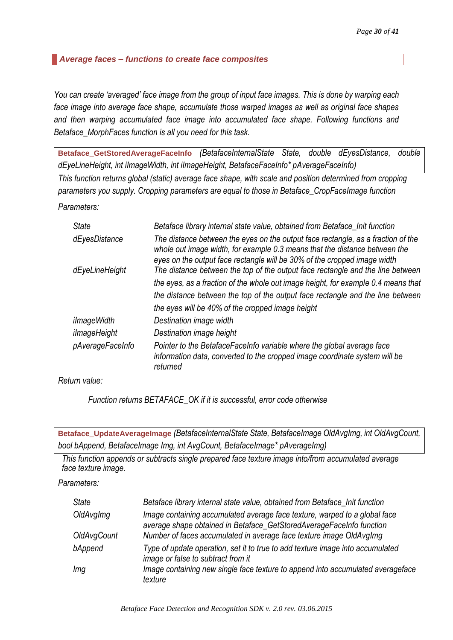## <span id="page-30-0"></span>*Average faces – functions to create face composites*

*You can create 'averaged' face image from the group of input face images. This is done by warping each face image into average face shape, accumulate those warped images as well as original face shapes and then warping accumulated face image into accumulated face shape. Following functions and Betaface\_MorphFaces function is all you need for this task.*

<span id="page-30-1"></span>**Betaface\_GetStoredAverageFaceInfo** *(BetafaceInternalState State, double dEyesDistance, double dEyeLineHeight, int iImageWidth, int iImageHeight, BetafaceFaceInfo\* pAverageFaceInfo)*

*This function returns global (static) average face shape, with scale and position determined from cropping parameters you supply. Cropping parameters are equal to those in Betaface\_CropFaceImage function*

*Parameters:*

| <b>State</b>       | Betaface library internal state value, obtained from Betaface_Init function                                                                                                                                                                |
|--------------------|--------------------------------------------------------------------------------------------------------------------------------------------------------------------------------------------------------------------------------------------|
| dEyesDistance      | The distance between the eyes on the output face rectangle, as a fraction of the<br>whole out image width, for example 0.3 means that the distance between the<br>eyes on the output face rectangle will be 30% of the cropped image width |
| dEyeLineHeight     | The distance between the top of the output face rectangle and the line between                                                                                                                                                             |
|                    | the eyes, as a fraction of the whole out image height, for example 0.4 means that                                                                                                                                                          |
|                    | the distance between the top of the output face rectangle and the line between                                                                                                                                                             |
|                    | the eyes will be 40% of the cropped image height                                                                                                                                                                                           |
| <i>ilmageWidth</i> | Destination image width                                                                                                                                                                                                                    |
| ilmageHeight       | Destination image height                                                                                                                                                                                                                   |
| pAverageFaceInfo   | Pointer to the BetafaceFaceInfo variable where the global average face<br>information data, converted to the cropped image coordinate system will be<br>returned                                                                           |

*Return value:*

*Function returns BETAFACE\_OK if it is successful, error code otherwise*

<span id="page-30-2"></span>**Betaface\_UpdateAverageImage** *(BetafaceInternalState State, BetafaceImage OldAvgImg, int OldAvgCount, bool bAppend, BetafaceImage Img, int AvgCount, BetafaceImage\* pAverageImg)*

*This function appends or subtracts single prepared face texture image into/from accumulated average face texture image.*

*Parameters:*

| <b>State</b>       | Betaface library internal state value, obtained from Betaface_Init function                                                                        |
|--------------------|----------------------------------------------------------------------------------------------------------------------------------------------------|
| OldAvgImg          | Image containing accumulated average face texture, warped to a global face<br>average shape obtained in Betaface_GetStoredAverageFaceInfo function |
| <b>OldAvgCount</b> | Number of faces accumulated in average face texture image OldAvgImg                                                                                |
| bAppend            | Type of update operation, set it to true to add texture image into accumulated<br>image or false to subtract from it                               |
| Img                | Image containing new single face texture to append into accumulated averageface<br>texture                                                         |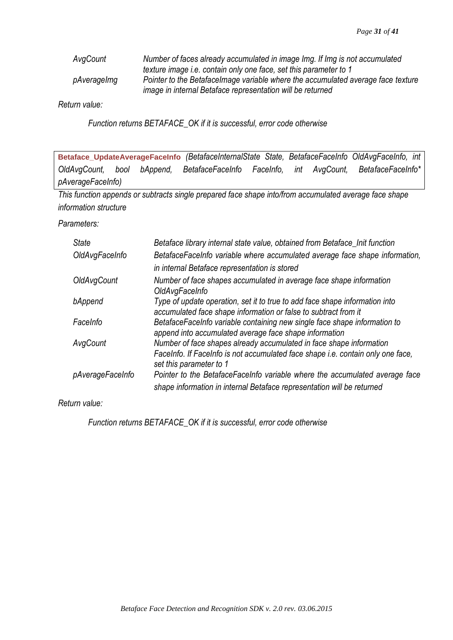| AvgCount    | Number of faces already accumulated in image Img. If Img is not accumulated      |
|-------------|----------------------------------------------------------------------------------|
|             | texture image i.e. contain only one face, set this parameter to 1                |
| pAveragelmg | Pointer to the Betaface mage variable where the accumulated average face texture |
|             | image in internal Betaface representation will be returned                       |

*Return value:*

*Function returns BETAFACE\_OK if it is successful, error code otherwise*

<span id="page-31-0"></span>

| Betaface_UpdateAverageFaceInfo (BetafaceInternalState State, BetafaceFaceInfo OldAvgFaceInfo, int |  |  |                                          |  |                   |
|---------------------------------------------------------------------------------------------------|--|--|------------------------------------------|--|-------------------|
| OldAvgCount, bool bAppend,                                                                        |  |  | BetafaceFaceInfo FaceInfo, int AvgCount, |  | BetafaceFaceInfo* |
| pAverageFaceInfo)                                                                                 |  |  |                                          |  |                   |

*This function appends or subtracts single prepared face shape into/from accumulated average face shape information structure*

## *Parameters:*

| <b>State</b>     | Betaface library internal state value, obtained from Betaface_Init function                                                                    |
|------------------|------------------------------------------------------------------------------------------------------------------------------------------------|
| OldAvgFaceInfo   | BetafaceFaceInfo variable where accumulated average face shape information,                                                                    |
|                  | in internal Betaface representation is stored                                                                                                  |
| OldAvgCount      | Number of face shapes accumulated in average face shape information<br>OldAvgFaceInfo                                                          |
| bAppend          | Type of update operation, set it to true to add face shape information into<br>accumulated face shape information or false to subtract from it |
| FaceInfo         | BetafaceFaceInfo variable containing new single face shape information to<br>append into accumulated average face shape information            |
| AvgCount         | Number of face shapes already accumulated in face shape information                                                                            |
|                  | FaceInfo. If FaceInfo is not accumulated face shape <i>i.e.</i> contain only one face,<br>set this parameter to 1                              |
| pAverageFaceInfo | Pointer to the BetafaceFaceInfo variable where the accumulated average face                                                                    |
|                  | shape information in internal Betaface representation will be returned                                                                         |

*Return value:*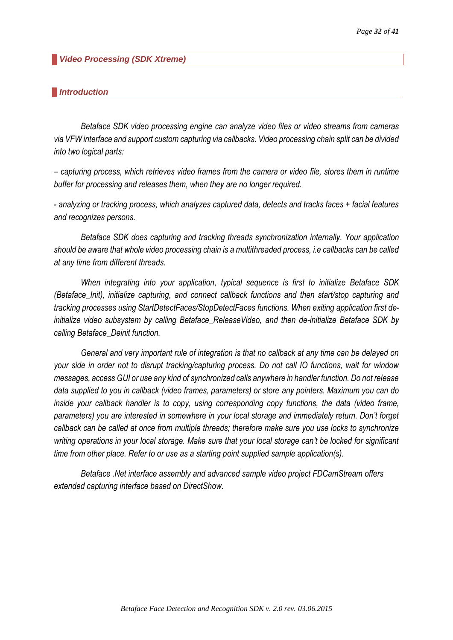<span id="page-32-0"></span>*Video Processing (SDK Xtreme)*

#### <span id="page-32-1"></span>*Introduction*

*Betaface SDK video processing engine can analyze video files or video streams from cameras via VFW interface and support custom capturing via callbacks. Video processing chain split can be divided into two logical parts:*

*– capturing process, which retrieves video frames from the camera or video file, stores them in runtime buffer for processing and releases them, when they are no longer required.*

*- analyzing or tracking process, which analyzes captured data, detects and tracks faces + facial features and recognizes persons.*

*Betaface SDK does capturing and tracking threads synchronization internally. Your application should be aware that whole video processing chain is a multithreaded process, i.e callbacks can be called at any time from different threads.* 

*When integrating into your application, typical sequence is first to initialize Betaface SDK (Betaface\_Init), initialize capturing, and connect callback functions and then start/stop capturing and tracking processes using StartDetectFaces/StopDetectFaces functions. When exiting application first deinitialize video subsystem by calling Betaface\_ReleaseVideo, and then de-initialize Betaface SDK by calling Betaface\_Deinit function.*

*General and very important rule of integration is that no callback at any time can be delayed on your side in order not to disrupt tracking/capturing process. Do not call IO functions, wait for window messages, access GUI or use any kind of synchronized calls anywhere in handler function. Do not release data supplied to you in callback (video frames, parameters) or store any pointers. Maximum you can do inside your callback handler is to copy, using corresponding copy functions, the data (video frame, parameters) you are interested in somewhere in your local storage and immediately return. Don't forget callback can be called at once from multiple threads; therefore make sure you use locks to synchronize writing operations in your local storage. Make sure that your local storage can't be locked for significant time from other place. Refer to or use as a starting point supplied sample application(s).* 

*Betaface .Net interface assembly and advanced sample video project FDCamStream offers extended capturing interface based on DirectShow.*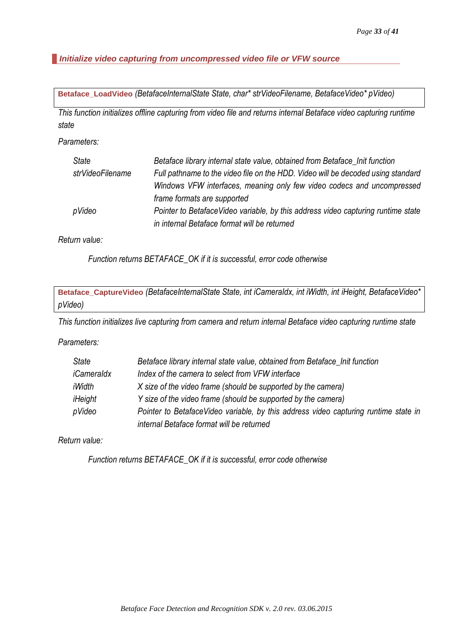<span id="page-33-0"></span>*Initialize video capturing from uncompressed video file or VFW source*

<span id="page-33-1"></span>**Betaface\_LoadVideo** *(BetafaceInternalState State, char\* strVideoFilename, BetafaceVideo\* pVideo)*

*This function initializes offline capturing from video file and returns internal Betaface video capturing runtime state*

*Parameters:*

| <b>State</b>     | Betaface library internal state value, obtained from Betaface_Init function      |
|------------------|----------------------------------------------------------------------------------|
| strVideoFilename | Full pathname to the video file on the HDD. Video will be decoded using standard |
|                  | Windows VFW interfaces, meaning only few video codecs and uncompressed           |
|                  | frame formats are supported                                                      |
| pVideo           | Pointer to BetafaceVideo variable, by this address video capturing runtime state |
|                  | in internal Betaface format will be returned                                     |

*Return value:*

*Function returns BETAFACE\_OK if it is successful, error code otherwise*

<span id="page-33-2"></span>**Betaface\_CaptureVideo** *(BetafaceInternalState State, int iCameraIdx, int iWidth, int iHeight, BetafaceVideo\* pVideo)*

*This function initializes live capturing from camera and return internal Betaface video capturing runtime state*

*Parameters:*

| State      | Betaface library internal state value, obtained from Betaface_Init function         |
|------------|-------------------------------------------------------------------------------------|
| iCameraldx | Index of the camera to select from VFW interface                                    |
| iWidth     | X size of the video frame (should be supported by the camera)                       |
| iHeight    | Y size of the video frame (should be supported by the camera)                       |
| pVideo     | Pointer to BetafaceVideo variable, by this address video capturing runtime state in |
|            | internal Betaface format will be returned                                           |

*Return value:*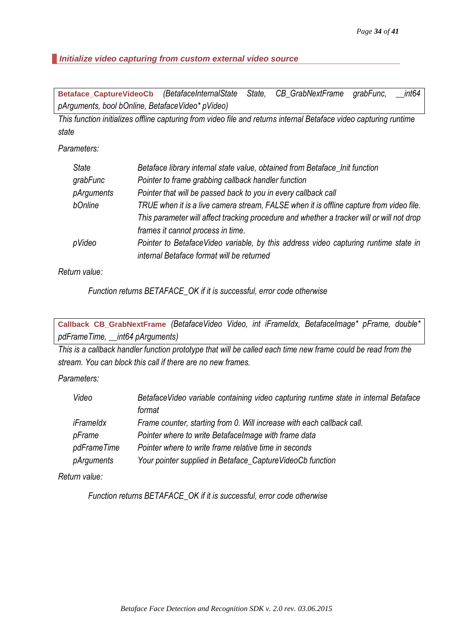## <span id="page-34-0"></span>*Initialize video capturing from custom external video source*

<span id="page-34-1"></span>**Betaface\_CaptureVideoCb** *(BetafaceInternalState State, CB\_GrabNextFrame grabFunc, \_\_int64 pArguments, bool bOnline, BetafaceVideo\* pVideo)*

*This function initializes offline capturing from video file and returns internal Betaface video capturing runtime state*

## *Parameters:*

| <b>State</b> | Betaface library internal state value, obtained from Betaface_Init function               |
|--------------|-------------------------------------------------------------------------------------------|
| grabFunc     | Pointer to frame grabbing callback handler function                                       |
| pArguments   | Pointer that will be passed back to you in every callback call                            |
| bOnline      | TRUE when it is a live camera stream, FALSE when it is offline capture from video file.   |
|              | This parameter will affect tracking procedure and whether a tracker will or will not drop |
|              | frames it cannot process in time.                                                         |
| pVideo       | Pointer to BetafaceVideo variable, by this address video capturing runtime state in       |
|              | internal Betaface format will be returned                                                 |

*Return value:*

*Function returns BETAFACE\_OK if it is successful, error code otherwise*

<span id="page-34-2"></span>**Callback CB\_GrabNextFrame** *(BetafaceVideo Video, int iFrameIdx, BetafaceImage\* pFrame, double\* pdFrameTime, \_\_int64 pArguments)*

*This is a callback handler function prototype that will be called each time new frame could be read from the stream. You can block this call if there are no new frames.*

*Parameters:*

| Video       | Betaface Video variable containing video capturing runtime state in internal Betaface |
|-------------|---------------------------------------------------------------------------------------|
|             | format                                                                                |
| iFrameldx   | Frame counter, starting from 0. Will increase with each callback call.                |
| pFrame      | Pointer where to write Betaface mage with frame data                                  |
| pdFrameTime | Pointer where to write frame relative time in seconds                                 |
| pArguments  | Your pointer supplied in Betaface_CaptureVideoCb function                             |

*Return value:*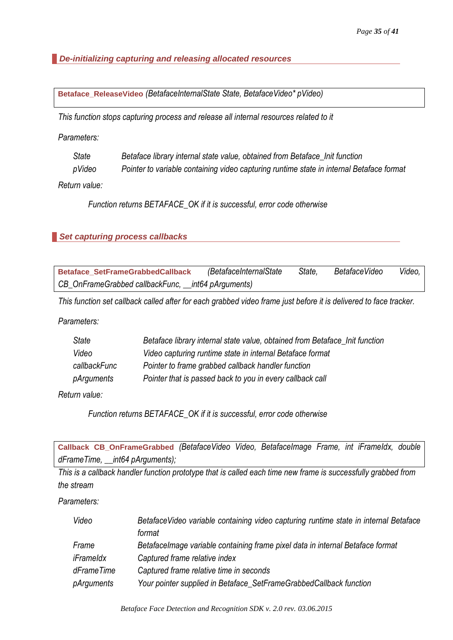<span id="page-35-0"></span>*De-initializing capturing and releasing allocated resources*

<span id="page-35-1"></span>**Betaface\_ReleaseVideo** *(BetafaceInternalState State, BetafaceVideo\* pVideo)*

*This function stops capturing process and release all internal resources related to it*

*Parameters:*

| State  | Betaface library internal state value, obtained from Betaface Init function              |
|--------|------------------------------------------------------------------------------------------|
| pVideo | Pointer to variable containing video capturing runtime state in internal Betaface format |

*Return value:*

*Function returns BETAFACE\_OK if it is successful, error code otherwise*

### <span id="page-35-2"></span>*Set capturing process callbacks*

<span id="page-35-3"></span>

| <b>Betaface SetFrameGrabbedCallback</b>             | (BetafaceInternalState | State, | <b>BetafaceVideo</b> | Video, |
|-----------------------------------------------------|------------------------|--------|----------------------|--------|
| CB_OnFrameGrabbed callbackFunc, __int64 pArguments) |                        |        |                      |        |

*This function set callback called after for each grabbed video frame just before it is delivered to face tracker.*

*Parameters:*

| <b>State</b> | Betaface library internal state value, obtained from Betaface Init function |
|--------------|-----------------------------------------------------------------------------|
| Video        | Video capturing runtime state in internal Betaface format                   |
| callbackFunc | Pointer to frame grabbed callback handler function                          |
| pArguments   | Pointer that is passed back to you in every callback call                   |

*Return value:*

*Function returns BETAFACE\_OK if it is successful, error code otherwise*

<span id="page-35-4"></span>**Callback CB\_OnFrameGrabbed** *(BetafaceVideo Video, BetafaceImage Frame, int iFrameIdx, double dFrameTime, \_\_int64 pArguments);*

*This is a callback handler function prototype that is called each time new frame is successfully grabbed from the stream*

*Parameters:*

| Video      | Betaface Video variable containing video capturing runtime state in internal Betaface |
|------------|---------------------------------------------------------------------------------------|
|            | format                                                                                |
| Frame      | Betaface Image variable containing frame pixel data in internal Betaface format       |
| iFrameldx  | Captured frame relative index                                                         |
| dFrameTime | Captured frame relative time in seconds                                               |
| pArguments | Your pointer supplied in Betaface_SetFrameGrabbedCallback function                    |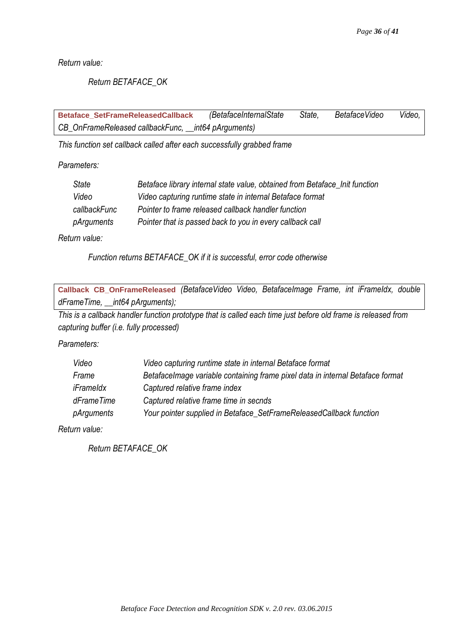*Return value:*

# *Return BETAFACE\_OK*

<span id="page-36-0"></span>**Betaface\_SetFrameReleasedCallback** *(BetafaceInternalState State, BetafaceVideo Video, CB\_OnFrameReleased callbackFunc, \_\_int64 pArguments)*

*This function set callback called after each successfully grabbed frame*

*Parameters:*

| Betaface library internal state value, obtained from Betaface Init function |
|-----------------------------------------------------------------------------|
| Video capturing runtime state in internal Betaface format                   |
| Pointer to frame released callback handler function                         |
| Pointer that is passed back to you in every callback call                   |
|                                                                             |

*Return value:*

*Function returns BETAFACE\_OK if it is successful, error code otherwise*

<span id="page-36-1"></span>**Callback CB\_OnFrameReleased** *(BetafaceVideo Video, BetafaceImage Frame, int iFrameIdx, double dFrameTime, \_\_int64 pArguments);*

*This is a callback handler function prototype that is called each time just before old frame is released from capturing buffer (i.e. fully processed)*

*Parameters:*

| Video      | Video capturing runtime state in internal Betaface format                      |
|------------|--------------------------------------------------------------------------------|
| Frame      | BetafaceImage variable containing frame pixel data in internal Betaface format |
| iFrameldx  | Captured relative frame index                                                  |
| dFrameTime | Captured relative frame time in secnds                                         |
| pArguments | Your pointer supplied in Betaface_SetFrameReleasedCallback function            |

*Return value:*

*Return BETAFACE\_OK*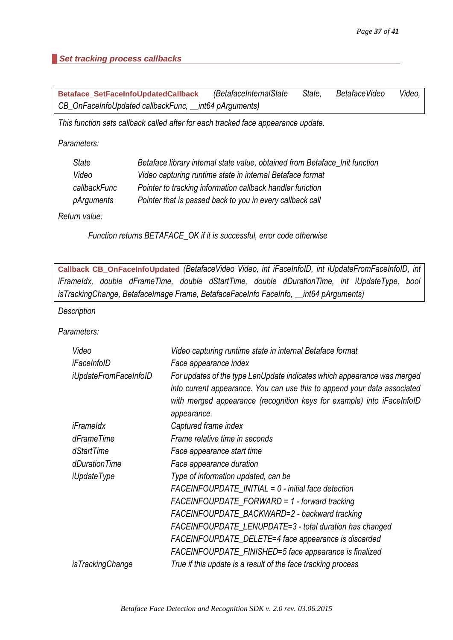# <span id="page-37-0"></span>*Set tracking process callbacks*

<span id="page-37-1"></span>

| <b>Betaface SetFaceInfoUpdatedCallback</b>             | (BetafaceInternalState | State, | BetafaceVideo | Video, |
|--------------------------------------------------------|------------------------|--------|---------------|--------|
| CB_OnFaceInfoUpdated callbackFunc, __int64 pArguments) |                        |        |               |        |

*This function sets callback called after for each tracked face appearance update.*

*Parameters:*

| <b>State</b> | Betaface library internal state value, obtained from Betaface Init function |
|--------------|-----------------------------------------------------------------------------|
| Video        | Video capturing runtime state in internal Betaface format                   |
| callbackFunc | Pointer to tracking information callback handler function                   |
| pArguments   | Pointer that is passed back to you in every callback call                   |
| . 1.         |                                                                             |

*Return value:*

*Function returns BETAFACE\_OK if it is successful, error code otherwise*

<span id="page-37-2"></span>**Callback CB\_OnFaceInfoUpdated** *(BetafaceVideo Video, int iFaceInfoID, int iUpdateFromFaceInfoID, int iFrameIdx, double dFrameTime, double dStartTime, double dDurationTime, int iUpdateType, bool isTrackingChange, BetafaceImage Frame, BetafaceFaceInfo FaceInfo, \_\_int64 pArguments)*

*Description*

*Parameters:*

| Video                        | Video capturing runtime state in internal Betaface format                                                                                                                                                                                    |
|------------------------------|----------------------------------------------------------------------------------------------------------------------------------------------------------------------------------------------------------------------------------------------|
| iFaceInfolD                  | Face appearance index                                                                                                                                                                                                                        |
| <i>iUpdateFromFaceInfoID</i> | For updates of the type LenUpdate indicates which appearance was merged<br>into current appearance. You can use this to append your data associated<br>with merged appearance (recognition keys for example) into iFaceInfoID<br>appearance. |
| iFrameldx                    | Captured frame index                                                                                                                                                                                                                         |
| dFrameTime                   | Frame relative time in seconds                                                                                                                                                                                                               |
| dStartTime                   | Face appearance start time                                                                                                                                                                                                                   |
| dDurationTime                | Face appearance duration                                                                                                                                                                                                                     |
| <i>iUpdateType</i>           | Type of information updated, can be                                                                                                                                                                                                          |
|                              | $FACEINFOUPDATE_NIITIAL = 0 - initial face detection$                                                                                                                                                                                        |
|                              | $FACEINFOUPDATE_FORWARD = 1$ - forward tracking                                                                                                                                                                                              |
|                              | FACEINFOUPDATE_BACKWARD=2 - backward tracking                                                                                                                                                                                                |
|                              | FACEINFOUPDATE_LENUPDATE=3 - total duration has changed                                                                                                                                                                                      |
|                              | FACEINFOUPDATE_DELETE=4 face appearance is discarded                                                                                                                                                                                         |
|                              | FACEINFOUPDATE_FINISHED=5 face appearance is finalized                                                                                                                                                                                       |
| <i>isTrackingChange</i>      | True if this update is a result of the face tracking process                                                                                                                                                                                 |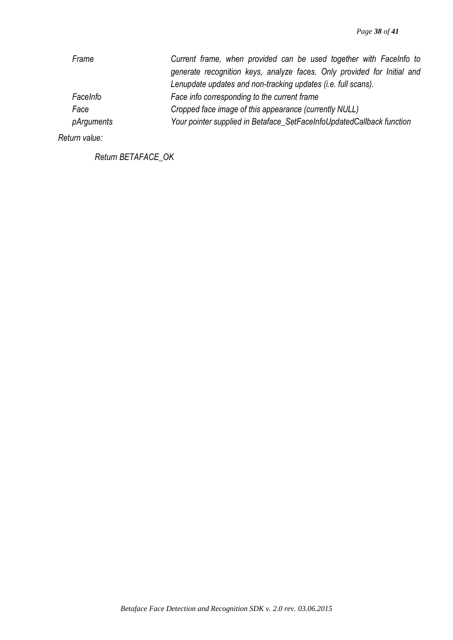| Frame      | Current frame, when provided can be used together with Facelnfo to      |
|------------|-------------------------------------------------------------------------|
|            | generate recognition keys, analyze faces. Only provided for Initial and |
|            | Lenupdate updates and non-tracking updates (i.e. full scans).           |
| FaceInfo   | Face info corresponding to the current frame                            |
| Face       | Cropped face image of this appearance (currently NULL)                  |
| pArguments | Your pointer supplied in Betaface_SetFaceInfoUpdatedCallback function   |

*Return value:*

*Return BETAFACE\_OK*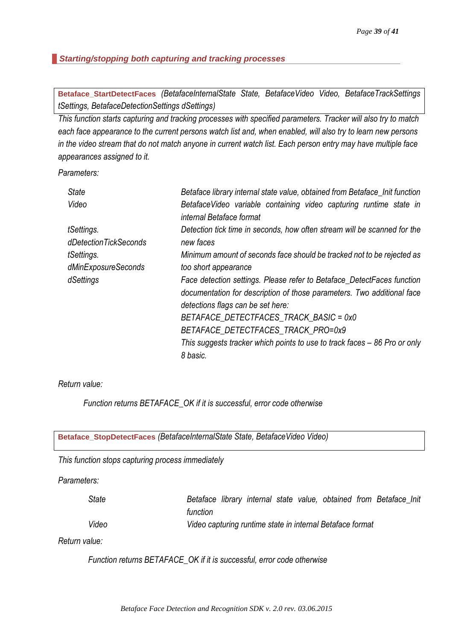# <span id="page-39-0"></span>*Starting/stopping both capturing and tracking processes*

<span id="page-39-1"></span>**Betaface\_StartDetectFaces** *(BetafaceInternalState State, BetafaceVideo Video, BetafaceTrackSettings tSettings, BetafaceDetectionSettings dSettings)*

*This function starts capturing and tracking processes with specified parameters. Tracker will also try to match each face appearance to the current persons watch list and, when enabled, will also try to learn new persons in the video stream that do not match anyone in current watch list. Each person entry may have multiple face appearances assigned to it.*

*Parameters:*

| <b>State</b>          | Betaface library internal state value, obtained from Betaface_Init function                    |
|-----------------------|------------------------------------------------------------------------------------------------|
| Video                 | BetafaceVideo variable containing video capturing runtime state in<br>internal Betaface format |
| tSettings.            | Detection tick time in seconds, how often stream will be scanned for the                       |
| dDetectionTickSeconds | new faces                                                                                      |
| tSettings.            | Minimum amount of seconds face should be tracked not to be rejected as                         |
| dMinExposureSeconds   | too short appearance                                                                           |
| dSettings             | Face detection settings. Please refer to Betaface_DetectFaces function                         |
|                       | documentation for description of those parameters. Two additional face                         |
|                       | detections flags can be set here:                                                              |
|                       | BETAFACE_DETECTFACES_TRACK_BASIC = 0x0                                                         |
|                       | BETAFACE_DETECTFACES_TRACK_PRO=0x9                                                             |
|                       | This suggests tracker which points to use to track faces – 86 Pro or only                      |
|                       | 8 basic.                                                                                       |

*Return value:*

*Function returns BETAFACE\_OK if it is successful, error code otherwise*

<span id="page-39-2"></span>

| Betaface_StopDetectFaces (BetafaceInternalState State, BetafaceVideo Video) |  |
|-----------------------------------------------------------------------------|--|
|                                                                             |  |

*This function stops capturing process immediately*

*Parameters:*

| State | Betaface library internal state value, obtained from Betaface Init |  |  |  |  |
|-------|--------------------------------------------------------------------|--|--|--|--|
|       | function                                                           |  |  |  |  |
| Video | Video capturing runtime state in internal Betaface format          |  |  |  |  |

*Return value:*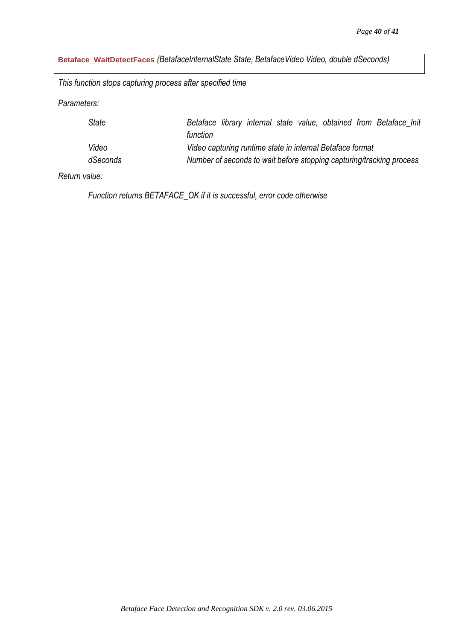<span id="page-40-0"></span>**Betaface\_WaitDetectFaces** *(BetafaceInternalState State, BetafaceVideo Video, double dSeconds)*

*This function stops capturing process after specified time*

*Parameters:*

| State    | Betaface library internal state value, obtained from Betaface Init   |
|----------|----------------------------------------------------------------------|
|          | function                                                             |
| Video    | Video capturing runtime state in internal Betaface format            |
| dSeconds | Number of seconds to wait before stopping capturing/tracking process |

*Return value:*